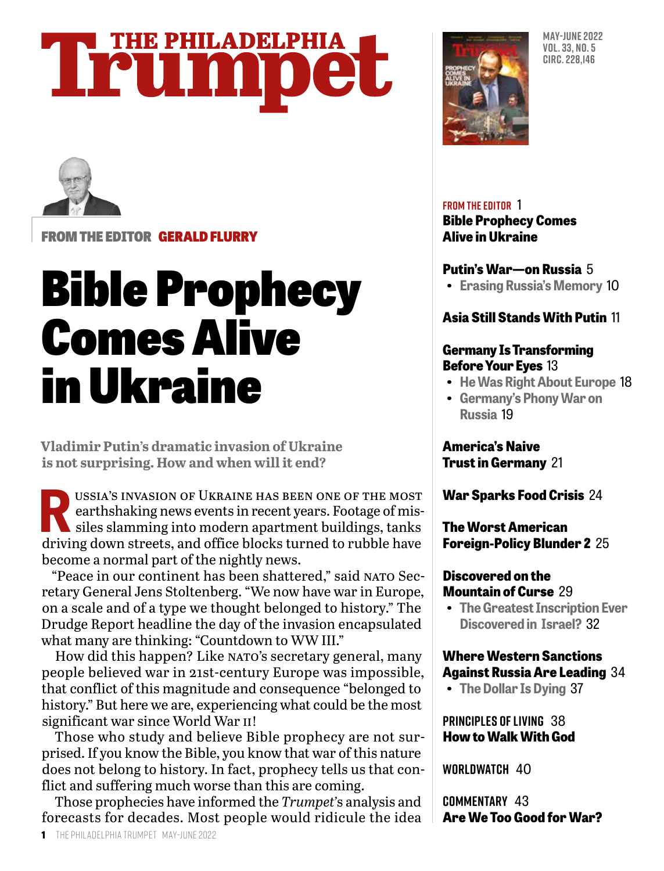## **THE PHILADELPHIA** Trumpet



FROM THE EDITOR GERALD FLURRY

## Bible Prophecy Comes Alive in Ukraine

**Vladimir Putin's dramatic invasion of Ukraine is not surprising. How and when will it end?**

USSIA'S INVASION OF UKRAINE HAS BEEN ONE OF THE MOST<br>earthshaking news events in recent years. Footage of missiles slamming into modern apartment buildings, tanks<br>driving down streets, and office blocks turned to withle ha earthshaking news events in recent years. Footage of missiles slamming into modern apartment buildings, tanks driving down streets, and office blocks turned to rubble have become a normal part of the nightly news.

"Peace in our continent has been shattered," said NATO Secretary General Jens Stoltenberg. "We now have war in Europe, on a scale and of a type we thought belonged to history." The Drudge Report headline the day of the invasion encapsulated what many are thinking: "Countdown to WW III."

How did this happen? Like NATO's secretary general, many people believed war in 21st-century Europe was impossible, that conflict of this magnitude and consequence "belonged to history." But here we are, experiencing what could be the most significant war since World War II!

Those who study and believe Bible prophecy are not surprised. If you know the Bible, you know that war of this nature does not belong to history. In fact, prophecy tells us that conflict and suffering much worse than this are coming.

Those prophecies have informed the *Trumpet'*s analysis and forecasts for decades. Most people would ridicule the idea



**MAY-JUNE 2022 VOL. 33, NO. 5 CIRC. 228,146**

#### **FROM THE EDITOR** 1

**Bible Prophecy Comes Alive in Ukraine**

#### **Putin's War—on Russia** 5

**• Erasing Russia's Memory** 10

#### **Asia Still Stands With Putin** 11

#### **Germany Is Transforming Before Your Eyes** 13

- **He Was Right About Europe** 18
- **Germany's Phony War on Russia** 19

**America's Naive Trust in Germany** 21

**War Sparks Food Crisis** 24

#### **The Worst American Foreign-Policy Blunder 2** 25

#### **Discovered on the Mountain of Curse** 29

**• The Greatest Inscription Ever Discovered in Israel?** 32

#### **Where Western Sanctions Against Russia Are Leading** 34

**• The Dollar Is Dying** 37

#### **PRINCIPLES OF LIVING** 38 **How to Walk With God**

**WORLDWATCH** 40

**COMMENTARY** 43 **Are We Too Good for War?**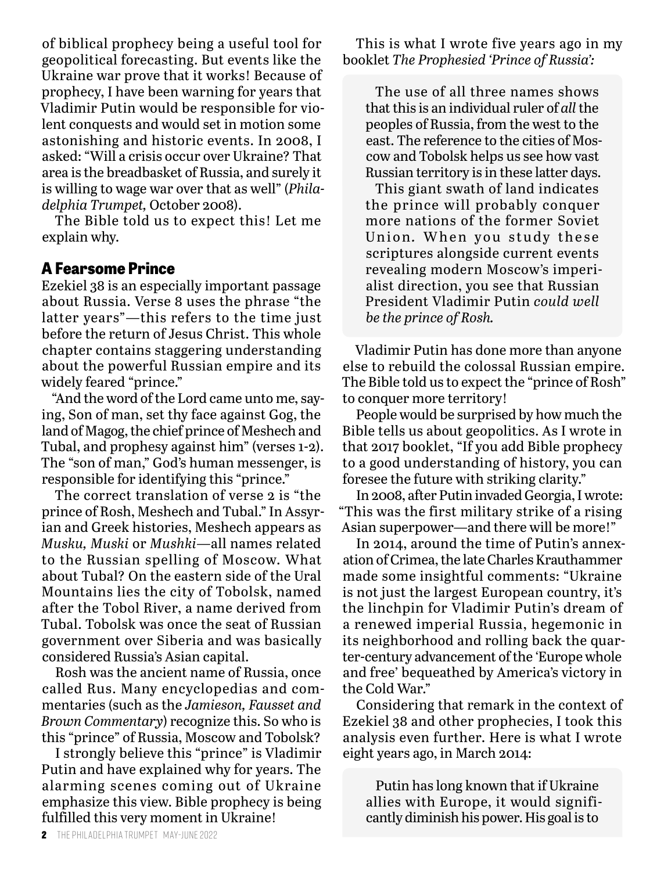of biblical prophecy being a useful tool for geopolitical forecasting. But events like the Ukraine war prove that it works! Because of prophecy, I have been warning for years that Vladimir Putin would be responsible for violent conquests and would set in motion some astonishing and historic events. In 2008, I asked: "Will a crisis occur over Ukraine? That area is the breadbasket of Russia, and surely it is willing to wage war over that as well" (*Philadelphia Trumpet,* October 2008).

The Bible told us to expect this! Let me explain why.

#### **A Fearsome Prince**

Ezekiel 38 is an especially important passage about Russia. Verse 8 uses the phrase "the latter years"—this refers to the time just before the return of Jesus Christ. This whole chapter contains staggering understanding about the powerful Russian empire and its widely feared "prince."

"And the word of the Lord came unto me, saying, Son of man, set thy face against Gog, the land of Magog, the chief prince of Meshech and Tubal, and prophesy against him" (verses 1-2). The "son of man," God's human messenger, is responsible for identifying this "prince."

The correct translation of verse 2 is "the prince of Rosh, Meshech and Tubal." In Assyrian and Greek histories, Meshech appears as *Musku, Muski* or *Mushki*—all names related to the Russian spelling of Moscow. What about Tubal? On the eastern side of the Ural Mountains lies the city of Tobolsk, named after the Tobol River, a name derived from Tubal. Tobolsk was once the seat of Russian government over Siberia and was basically considered Russia's Asian capital.

Rosh was the ancient name of Russia, once called Rus. Many encyclopedias and commentaries (such as the *Jamieson, Fausset and Brown Commentary*) recognize this. So who is this "prince" of Russia, Moscow and Tobolsk?

I strongly believe this "prince" is Vladimir Putin and have explained why for years. The alarming scenes coming out of Ukraine emphasize this view. Bible prophecy is being fulfilled this very moment in Ukraine!

This is what I wrote five years ago in my booklet *The Prophesied 'Prince of Russia':*

The use of all three names shows that this is an individual ruler of *all* the peoples of Russia, from the west to the east. The reference to the cities of Moscow and Tobolsk helps us see how vast Russian territory is in these latter days.

This giant swath of land indicates the prince will probably conquer more nations of the former Soviet Union. When you study these scriptures alongside current events revealing modern Moscow's imperialist direction, you see that Russian President Vladimir Putin *could well be the prince of Rosh.*

Vladimir Putin has done more than anyone else to rebuild the colossal Russian empire. The Bible told us to expect the "prince of Rosh" to conquer more territory!

People would be surprised by how much the Bible tells us about geopolitics. As I wrote in that 2017 booklet, "If you add Bible prophecy to a good understanding of history, you can foresee the future with striking clarity."

In 2008, after Putin invaded Georgia, I wrote: "This was the first military strike of a rising Asian superpower—and there will be more!"

In 2014, around the time of Putin's annexation of Crimea, the late Charles Krauthammer made some insightful comments: "Ukraine is not just the largest European country, it's the linchpin for Vladimir Putin's dream of a renewed imperial Russia, hegemonic in its neighborhood and rolling back the quarter-century advancement of the 'Europe whole and free' bequeathed by America's victory in the Cold War."

Considering that remark in the context of Ezekiel 38 and other prophecies, I took this analysis even further. Here is what I wrote eight years ago, in March 2014:

Putin has long known that if Ukraine allies with Europe, it would significantly diminish his power. His goal is to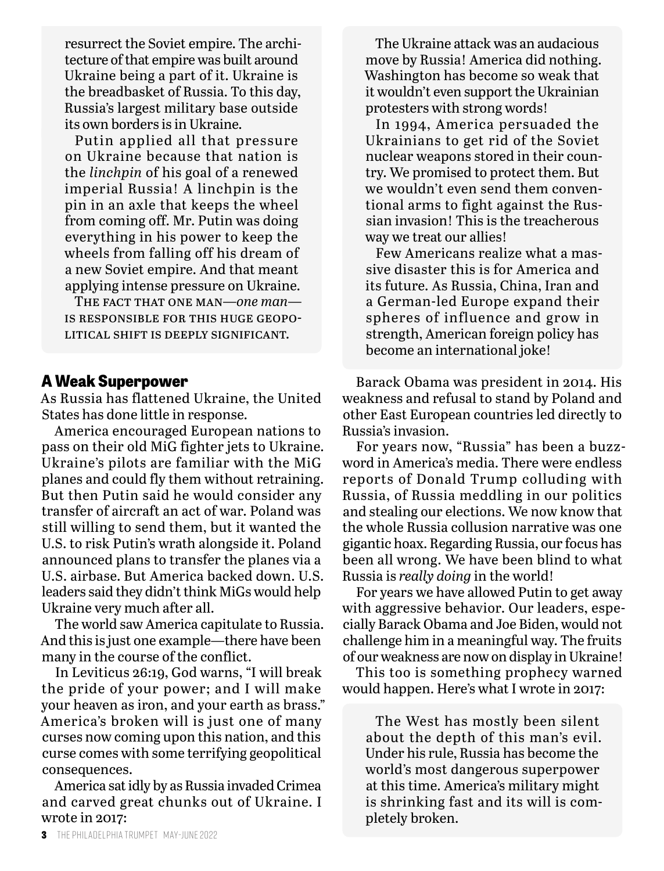resurrect the Soviet empire. The architecture of that empire was built around Ukraine being a part of it. Ukraine is the breadbasket of Russia. To this day, Russia's largest military base outside its own borders is in Ukraine.

Putin applied all that pressure on Ukraine because that nation is the *linchpin* of his goal of a renewed imperial Russia! A linchpin is the pin in an axle that keeps the wheel from coming off. Mr. Putin was doing everything in his power to keep the wheels from falling off his dream of a new Soviet empire. And that meant applying intense pressure on Ukraine.

The fact that one man—*one man* is responsible for this huge geopolitical shift is deeply significant.

#### **A Weak Superpower**

As Russia has flattened Ukraine, the United States has done little in response.

America encouraged European nations to pass on their old MiG fighter jets to Ukraine. Ukraine's pilots are familiar with the MiG planes and could fly them without retraining. But then Putin said he would consider any transfer of aircraft an act of war. Poland was still willing to send them, but it wanted the U.S. to risk Putin's wrath alongside it. Poland announced plans to transfer the planes via a U.S. airbase. But America backed down. U.S. leaders said they didn't think MiGs would help Ukraine very much after all.

The world saw America capitulate to Russia. And this is just one example—there have been many in the course of the conflict.

In Leviticus 26:19, God warns, "I will break the pride of your power; and I will make your heaven as iron, and your earth as brass." America's broken will is just one of many curses now coming upon this nation, and this curse comes with some terrifying geopolitical consequences.

America sat idly by as Russia invaded Crimea and carved great chunks out of Ukraine. I wrote in 2017:

The Ukraine attack was an audacious move by Russia! America did nothing. Washington has become so weak that it wouldn't even support the Ukrainian protesters with strong words!

In 1994, America persuaded the Ukrainians to get rid of the Soviet nuclear weapons stored in their country. We promised to protect them. But we wouldn't even send them conventional arms to fight against the Russian invasion! This is the treacherous way we treat our allies!

Few Americans realize what a massive disaster this is for America and its future. As Russia, China, Iran and a German-led Europe expand their spheres of influence and grow in strength, American foreign policy has become an international joke!

Barack Obama was president in 2014. His weakness and refusal to stand by Poland and other East European countries led directly to Russia's invasion.

For years now, "Russia" has been a buzzword in America's media. There were endless reports of Donald Trump colluding with Russia, of Russia meddling in our politics and stealing our elections. We now know that the whole Russia collusion narrative was one gigantic hoax. Regarding Russia, our focus has been all wrong. We have been blind to what Russia is *really doing* in the world!

For years we have allowed Putin to get away with aggressive behavior. Our leaders, especially Barack Obama and Joe Biden, would not challenge him in a meaningful way. The fruits of our weakness are now on display in Ukraine!

This too is something prophecy warned would happen. Here's what I wrote in 2017:

The West has mostly been silent about the depth of this man's evil. Under his rule, Russia has become the world's most dangerous superpower at this time. America's military might is shrinking fast and its will is completely broken.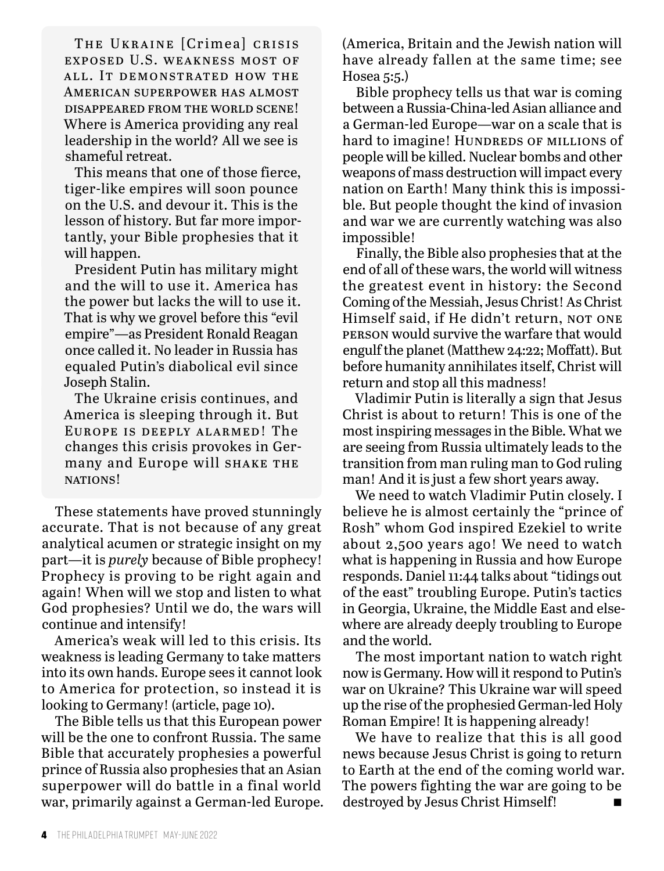THE UKRAINE [Crimea] CRISIS exposed U.S. weakness most of all. It demonstrated how the American superpower has almost disappeared from the world scene! Where is America providing any real leadership in the world? All we see is shameful retreat.

This means that one of those fierce, tiger-like empires will soon pounce on the U.S. and devour it. This is the lesson of history. But far more importantly, your Bible prophesies that it will happen.

President Putin has military might and the will to use it. America has the power but lacks the will to use it. That is why we grovel before this "evil empire"—as President Ronald Reagan once called it. No leader in Russia has equaled Putin's diabolical evil since Joseph Stalin.

The Ukraine crisis continues, and America is sleeping through it. But Europe is deeply alarmed! The changes this crisis provokes in Germany and Europe will SHAKE THE NATIONS!

These statements have proved stunningly accurate. That is not because of any great analytical acumen or strategic insight on my part—it is *purely* because of Bible prophecy! Prophecy is proving to be right again and again! When will we stop and listen to what God prophesies? Until we do, the wars will continue and intensify!

America's weak will led to this crisis. Its weakness is leading Germany to take matters into its own hands. Europe sees it cannot look to America for protection, so instead it is looking to Germany! (article, page 10).

The Bible tells us that this European power will be the one to confront Russia. The same Bible that accurately prophesies a powerful prince of Russia also prophesies that an Asian superpower will do battle in a final world war, primarily against a German-led Europe. (America, Britain and the Jewish nation will have already fallen at the same time; see Hosea 5:5.)

Bible prophecy tells us that war is coming between a Russia-China-led Asian alliance and a German-led Europe—war on a scale that is hard to imagine! HUNDREDS OF MILLIONS of people will be killed. Nuclear bombs and other weapons of mass destruction will impact every nation on Earth! Many think this is impossible. But people thought the kind of invasion and war we are currently watching was also impossible!

Finally, the Bible also prophesies that at the end of all of these wars, the world will witness the greatest event in history: the Second Coming of the Messiah, Jesus Christ! As Christ Himself said, if He didn't return, NOT ONE person would survive the warfare that would engulf the planet (Matthew 24:22; Moffatt). But before humanity annihilates itself, Christ will return and stop all this madness!

Vladimir Putin is literally a sign that Jesus Christ is about to return! This is one of the most inspiring messages in the Bible. What we are seeing from Russia ultimately leads to the transition from man ruling man to God ruling man! And it is just a few short years away.

We need to watch Vladimir Putin closely. I believe he is almost certainly the "prince of Rosh" whom God inspired Ezekiel to write about 2,500 years ago! We need to watch what is happening in Russia and how Europe responds. Daniel 11:44 talks about "tidings out of the east" troubling Europe. Putin's tactics in Georgia, Ukraine, the Middle East and elsewhere are already deeply troubling to Europe and the world.

The most important nation to watch right now is Germany. How will it respond to Putin's war on Ukraine? This Ukraine war will speed up the rise of the prophesied German-led Holy Roman Empire! It is happening already!

We have to realize that this is all good news because Jesus Christ is going to return to Earth at the end of the coming world war. The powers fighting the war are going to be destroyed by Jesus Christ Himself!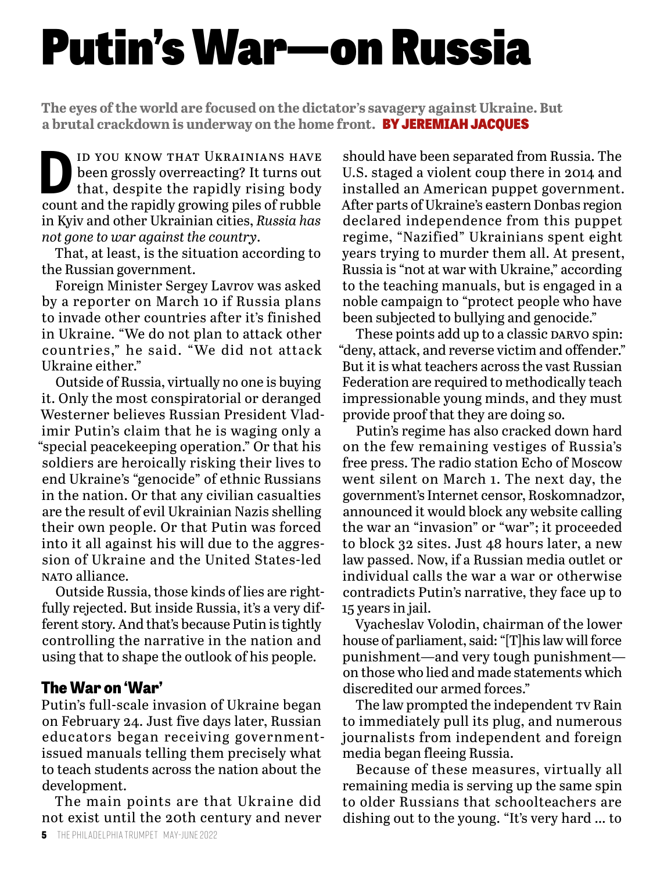# Putin's War—on Russia

**The eyes of the world are focused on the dictator's savagery against Ukraine. But a brutal crackdown is underway on the home front.** BY JEREMIAH JACQUES

**D** ID YOU KNOW THAT UKRAINIANS HAVE<br>
been grossly overreacting? It turns out<br>
that, despite the rapidly rising body<br>
count and the rapidly growing piles of rubble been grossly overreacting? It turns out count and the rapidly growing piles of rubble in Kyiv and other Ukrainian cities, *Russia has not gone to war against the country*.

That, at least, is the situation according to the Russian government.

Foreign Minister Sergey Lavrov was asked by a reporter on March 10 if Russia plans to invade other countries after it's finished in Ukraine. "We do not plan to attack other countries," he said. "We did not attack Ukraine either."

Outside of Russia, virtually no one is buying it. Only the most conspiratorial or deranged Westerner believes Russian President Vladimir Putin's claim that he is waging only a "special peacekeeping operation." Or that his soldiers are heroically risking their lives to end Ukraine's "genocide" of ethnic Russians in the nation. Or that any civilian casualties are the result of evil Ukrainian Nazis shelling their own people. Or that Putin was forced into it all against his will due to the aggression of Ukraine and the United States-led nato alliance.

Outside Russia, those kinds of lies are rightfully rejected. But inside Russia, it's a very different story. And that's because Putin is tightly controlling the narrative in the nation and using that to shape the outlook of his people.

#### **The War on 'War'**

Putin's full-scale invasion of Ukraine began on February 24. Just five days later, Russian educators began receiving governmentissued manuals telling them precisely what to teach students across the nation about the development.

The main points are that Ukraine did not exist until the 20th century and never

should have been separated from Russia. The U.S. staged a violent coup there in 2014 and installed an American puppet government. After parts of Ukraine's eastern Donbas region declared independence from this puppet regime, "Nazified" Ukrainians spent eight years trying to murder them all. At present, Russia is "not at war with Ukraine," according to the teaching manuals, but is engaged in a noble campaign to "protect people who have been subjected to bullying and genocide."

These points add up to a classic DARVO spin: "deny, attack, and reverse victim and offender." But it is what teachers across the vast Russian Federation are required to methodically teach impressionable young minds, and they must provide proof that they are doing so.

Putin's regime has also cracked down hard on the few remaining vestiges of Russia's free press. The radio station Echo of Moscow went silent on March 1. The next day, the government's Internet censor, Roskomnadzor, announced it would block any website calling the war an "invasion" or "war"; it proceeded to block 32 sites. Just 48 hours later, a new law passed. Now, if a Russian media outlet or individual calls the war a war or otherwise contradicts Putin's narrative, they face up to 15 years in jail.

Vyacheslav Volodin, chairman of the lower house of parliament, said: "[T]his law will force punishment—and very tough punishment on those who lied and made statements which discredited our armed forces."

The law prompted the independent TV Rain to immediately pull its plug, and numerous journalists from independent and foreign media began fleeing Russia.

Because of these measures, virtually all remaining media is serving up the same spin to older Russians that schoolteachers are dishing out to the young. "It's very hard … to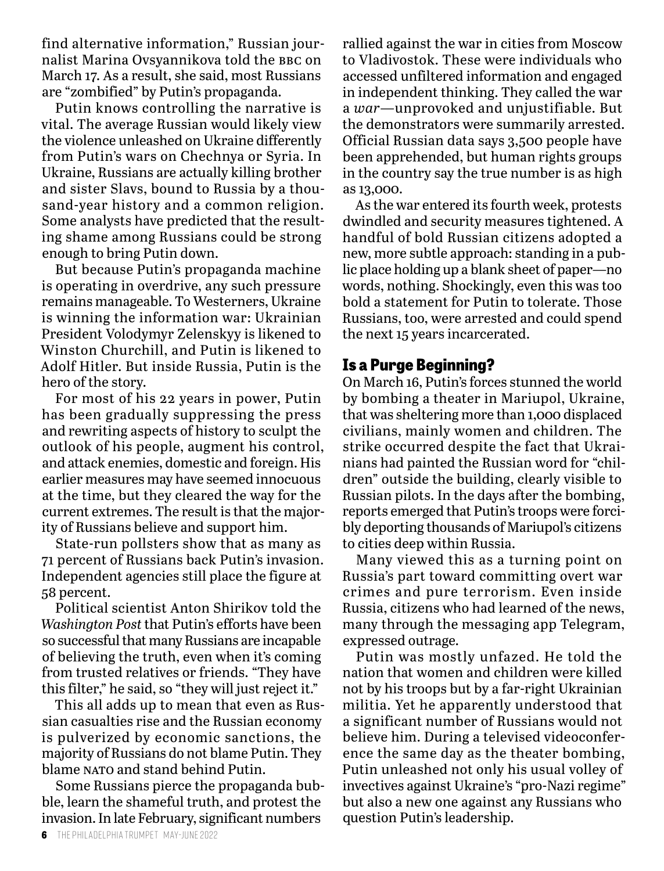find alternative information," Russian journalist Marina Ovsyannikova told the bbc on March 17. As a result, she said, most Russians are "zombified" by Putin's propaganda.

Putin knows controlling the narrative is vital. The average Russian would likely view the violence unleashed on Ukraine differently from Putin's wars on Chechnya or Syria. In Ukraine, Russians are actually killing brother and sister Slavs, bound to Russia by a thousand-year history and a common religion. Some analysts have predicted that the resulting shame among Russians could be strong enough to bring Putin down.

But because Putin's propaganda machine is operating in overdrive, any such pressure remains manageable. To Westerners, Ukraine is winning the information war: Ukrainian President Volodymyr Zelenskyy is likened to Winston Churchill, and Putin is likened to Adolf Hitler. But inside Russia, Putin is the hero of the story.

For most of his 22 years in power, Putin has been gradually suppressing the press and rewriting aspects of history to sculpt the outlook of his people, augment his control, and attack enemies, domestic and foreign. His earlier measures may have seemed innocuous at the time, but they cleared the way for the current extremes. The result is that the majority of Russians believe and support him.

State-run pollsters show that as many as 71 percent of Russians back Putin's invasion. Independent agencies still place the figure at 58 percent.

Political scientist Anton Shirikov told the *Washington Post* that Putin's efforts have been so successful that many Russians are incapable of believing the truth, even when it's coming from trusted relatives or friends. "They have this filter," he said, so "they will just reject it."

This all adds up to mean that even as Russian casualties rise and the Russian economy is pulverized by economic sanctions, the majority of Russians do not blame Putin. They blame NATO and stand behind Putin.

Some Russians pierce the propaganda bubble, learn the shameful truth, and protest the invasion. In late February, significant numbers

rallied against the war in cities from Moscow to Vladivostok. These were individuals who accessed unfiltered information and engaged in independent thinking. They called the war a *war*—unprovoked and unjustifiable. But the demonstrators were summarily arrested. Official Russian data says 3,500 people have been apprehended, but human rights groups in the country say the true number is as high as 13,000.

As the war entered its fourth week, protests dwindled and security measures tightened. A handful of bold Russian citizens adopted a new, more subtle approach: standing in a public place holding up a blank sheet of paper—no words, nothing. Shockingly, even this was too bold a statement for Putin to tolerate. Those Russians, too, were arrested and could spend the next 15 years incarcerated.

#### **Is a Purge Beginning?**

On March 16, Putin's forces stunned the world by bombing a theater in Mariupol, Ukraine, that was sheltering more than 1,000 displaced civilians, mainly women and children. The strike occurred despite the fact that Ukrainians had painted the Russian word for "children" outside the building, clearly visible to Russian pilots. In the days after the bombing, reports emerged that Putin's troops were forcibly deporting thousands of Mariupol's citizens to cities deep within Russia.

Many viewed this as a turning point on Russia's part toward committing overt war crimes and pure terrorism. Even inside Russia, citizens who had learned of the news, many through the messaging app Telegram, expressed outrage.

Putin was mostly unfazed. He told the nation that women and children were killed not by his troops but by a far-right Ukrainian militia. Yet he apparently understood that a significant number of Russians would not believe him. During a televised videoconference the same day as the theater bombing, Putin unleashed not only his usual volley of invectives against Ukraine's "pro-Nazi regime" but also a new one against any Russians who question Putin's leadership.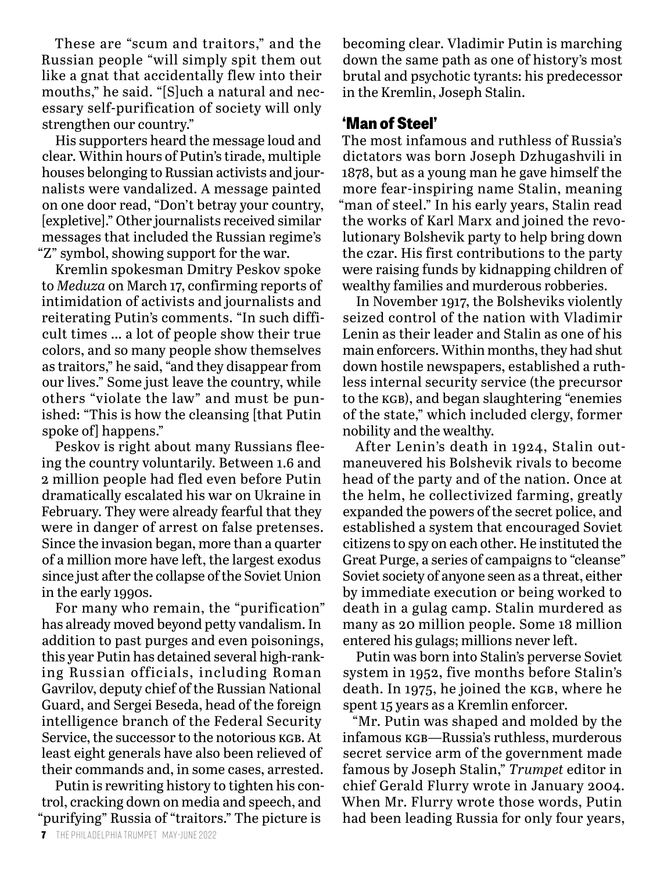These are "scum and traitors," and the Russian people "will simply spit them out like a gnat that accidentally flew into their mouths," he said. "[S]uch a natural and necessary self-purification of society will only strengthen our country."

His supporters heard the message loud and clear. Within hours of Putin's tirade, multiple houses belonging to Russian activists and journalists were vandalized. A message painted on one door read, "Don't betray your country, [expletive]." Other journalists received similar messages that included the Russian regime's "Z" symbol, showing support for the war.

Kremlin spokesman Dmitry Peskov spoke to *Meduza* on March 17, confirming reports of intimidation of activists and journalists and reiterating Putin's comments. "In such difficult times … a lot of people show their true colors, and so many people show themselves as traitors," he said, "and they disappear from our lives." Some just leave the country, while others "violate the law" and must be punished: "This is how the cleansing [that Putin spoke of happens."

Peskov is right about many Russians fleeing the country voluntarily. Between 1.6 and 2 million people had fled even before Putin dramatically escalated his war on Ukraine in February. They were already fearful that they were in danger of arrest on false pretenses. Since the invasion began, more than a quarter of a million more have left, the largest exodus since just after the collapse of the Soviet Union in the early 1990s.

For many who remain, the "purification" has already moved beyond petty vandalism. In addition to past purges and even poisonings, this year Putin has detained several high-ranking Russian officials, including Roman Gavrilov, deputy chief of the Russian National Guard, and Sergei Beseda, head of the foreign intelligence branch of the Federal Security Service, the successor to the notorious KGB. At least eight generals have also been relieved of their commands and, in some cases, arrested.

Putin is rewriting history to tighten his control, cracking down on media and speech, and "purifying" Russia of "traitors." The picture is

becoming clear. Vladimir Putin is marching down the same path as one of history's most brutal and psychotic tyrants: his predecessor in the Kremlin, Joseph Stalin.

#### **'Man of Steel'**

The most infamous and ruthless of Russia's dictators was born Joseph Dzhugashvili in 1878, but as a young man he gave himself the more fear-inspiring name Stalin, meaning "man of steel." In his early years, Stalin read the works of Karl Marx and joined the revolutionary Bolshevik party to help bring down the czar. His first contributions to the party were raising funds by kidnapping children of wealthy families and murderous robberies.

In November 1917, the Bolsheviks violently seized control of the nation with Vladimir Lenin as their leader and Stalin as one of his main enforcers. Within months, they had shut down hostile newspapers, established a ruthless internal security service (the precursor to the kgb), and began slaughtering "enemies of the state," which included clergy, former nobility and the wealthy.

After Lenin's death in 1924, Stalin outmaneuvered his Bolshevik rivals to become head of the party and of the nation. Once at the helm, he collectivized farming, greatly expanded the powers of the secret police, and established a system that encouraged Soviet citizens to spy on each other. He instituted the Great Purge, a series of campaigns to "cleanse" Soviet society of anyone seen as a threat, either by immediate execution or being worked to death in a gulag camp. Stalin murdered as many as 20 million people. Some 18 million entered his gulags; millions never left.

Putin was born into Stalin's perverse Soviet system in 1952, five months before Stalin's death. In 1975, he joined the KGB, where he spent 15 years as a Kremlin enforcer.

"Mr. Putin was shaped and molded by the infamous kgb—Russia's ruthless, murderous secret service arm of the government made famous by Joseph Stalin," *Trumpet* editor in chief Gerald Flurry wrote in January 2004. When Mr. Flurry wrote those words, Putin had been leading Russia for only four years,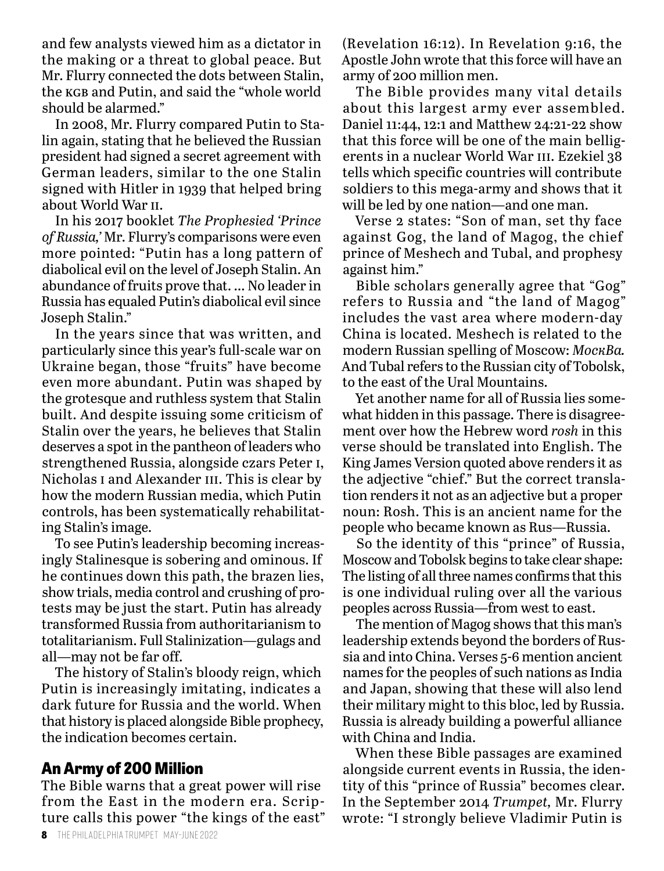and few analysts viewed him as a dictator in the making or a threat to global peace. But Mr. Flurry connected the dots between Stalin, the kgb and Putin, and said the "whole world should be alarmed."

In 2008, Mr. Flurry compared Putin to Stalin again, stating that he believed the Russian president had signed a secret agreement with German leaders, similar to the one Stalin signed with Hitler in 1939 that helped bring about World War ii.

In his 2017 booklet *The Prophesied 'Prince of Russia,'* Mr. Flurry's comparisons were even more pointed: "Putin has a long pattern of diabolical evil on the level of Joseph Stalin. An abundance of fruits prove that. … No leader in Russia has equaled Putin's diabolical evil since Joseph Stalin."

In the years since that was written, and particularly since this year's full-scale war on Ukraine began, those "fruits" have become even more abundant. Putin was shaped by the grotesque and ruthless system that Stalin built. And despite issuing some criticism of Stalin over the years, he believes that Stalin deserves a spot in the pantheon of leaders who strengthened Russia, alongside czars Peter i, Nicholas I and Alexander III. This is clear by how the modern Russian media, which Putin controls, has been systematically rehabilitating Stalin's image.

To see Putin's leadership becoming increasingly Stalinesque is sobering and ominous. If he continues down this path, the brazen lies, show trials, media control and crushing of protests may be just the start. Putin has already transformed Russia from authoritarianism to totalitarianism. Full Stalinization—gulags and all—may not be far off.

The history of Stalin's bloody reign, which Putin is increasingly imitating, indicates a dark future for Russia and the world. When that history is placed alongside Bible prophecy, the indication becomes certain.

#### **An Army of 200 Million**

The Bible warns that a great power will rise from the East in the modern era. Scripture calls this power "the kings of the east" (Revelation 16:12). In Revelation 9:16, the Apostle John wrote that this force will have an army of 200 million men.

The Bible provides many vital details about this largest army ever assembled. Daniel 11:44, 12:1 and Matthew 24:21-22 show that this force will be one of the main belligerents in a nuclear World War III. Ezekiel 38 tells which specific countries will contribute soldiers to this mega-army and shows that it will be led by one nation—and one man.

Verse 2 states: "Son of man, set thy face against Gog, the land of Magog, the chief prince of Meshech and Tubal, and prophesy against him."

Bible scholars generally agree that "Gog" refers to Russia and "the land of Magog" includes the vast area where modern-day China is located. Meshech is related to the modern Russian spelling of Moscow: *MocĸBa.*  And Tubal refers to the Russian city of Tobolsk, to the east of the Ural Mountains.

Yet another name for all of Russia lies somewhat hidden in this passage. There is disagreement over how the Hebrew word *rosh* in this verse should be translated into English. The King James Version quoted above renders it as the adjective "chief." But the correct translation renders it not as an adjective but a proper noun: Rosh. This is an ancient name for the people who became known as Rus—Russia.

So the identity of this "prince" of Russia, Moscow and Tobolsk begins to take clear shape: The listing of all three names confirms that this is one individual ruling over all the various peoples across Russia—from west to east.

The mention of Magog shows that this man's leadership extends beyond the borders of Russia and into China. Verses 5-6 mention ancient names for the peoples of such nations as India and Japan, showing that these will also lend their military might to this bloc, led by Russia. Russia is already building a powerful alliance with China and India.

When these Bible passages are examined alongside current events in Russia, the identity of this "prince of Russia" becomes clear. In the September 2014 *Trumpet,* Mr. Flurry wrote: "I strongly believe Vladimir Putin is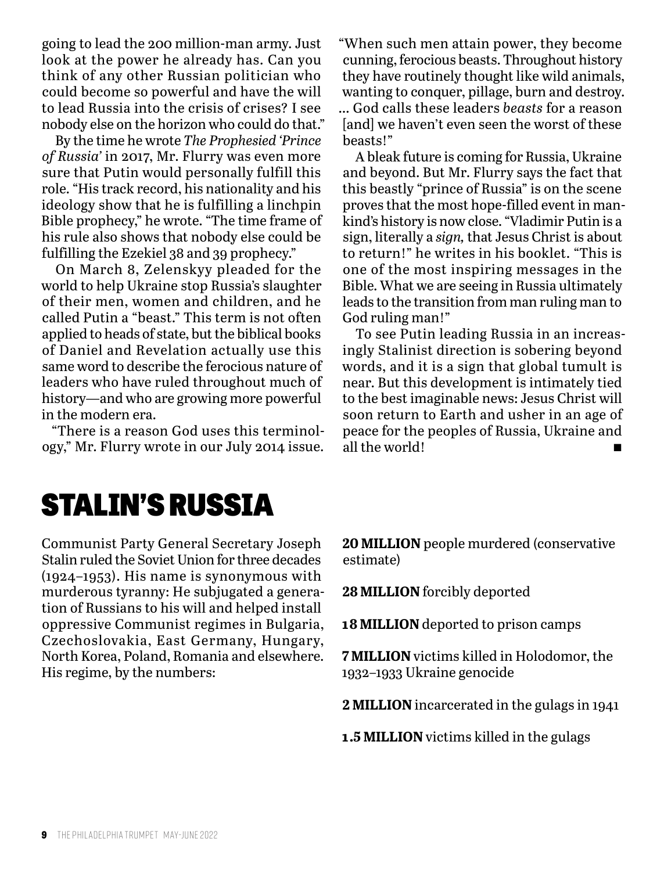going to lead the 200 million-man army. Just look at the power he already has. Can you think of any other Russian politician who could become so powerful and have the will to lead Russia into the crisis of crises? I see nobody else on the horizon who could do that."

By the time he wrote *The Prophesied 'Prince of Russia'* in 2017, Mr. Flurry was even more sure that Putin would personally fulfill this role. "His track record, his nationality and his ideology show that he is fulfilling a linchpin Bible prophecy," he wrote. "The time frame of his rule also shows that nobody else could be fulfilling the Ezekiel 38 and 39 prophecy."

On March 8, Zelenskyy pleaded for the world to help Ukraine stop Russia's slaughter of their men, women and children, and he called Putin a "beast." This term is not often applied to heads of state, but the biblical books of Daniel and Revelation actually use this same word to describe the ferocious nature of leaders who have ruled throughout much of history—and who are growing more powerful in the modern era.

"There is a reason God uses this terminology," Mr. Flurry wrote in our July 2014 issue. "When such men attain power, they become cunning, ferocious beasts. Throughout history they have routinely thought like wild animals, wanting to conquer, pillage, burn and destroy. … God calls these leaders *beasts* for a reason [and] we haven't even seen the worst of these beasts!"

A bleak future is coming for Russia, Ukraine and beyond. But Mr. Flurry says the fact that this beastly "prince of Russia" is on the scene proves that the most hope-filled event in mankind's history is now close. "Vladimir Putin is a sign, literally a *sign,* that Jesus Christ is about to return!" he writes in his booklet. "This is one of the most inspiring messages in the Bible. What we are seeing in Russia ultimately leads to the transition from man ruling man to God ruling man!"

To see Putin leading Russia in an increasingly Stalinist direction is sobering beyond words, and it is a sign that global tumult is near. But this development is intimately tied to the best imaginable news: Jesus Christ will soon return to Earth and usher in an age of peace for the peoples of Russia, Ukraine and all the world!

### STALIN'S RUSSIA

Communist Party General Secretary Joseph Stalin ruled the Soviet Union for three decades (1924–1953). His name is synonymous with murderous tyranny: He subjugated a generation of Russians to his will and helped install oppressive Communist regimes in Bulgaria, Czechoslovakia, East Germany, Hungary, North Korea, Poland, Romania and elsewhere. His regime, by the numbers:

**20 MILLION** people murdered (conservative estimate)

**28 MILLION** forcibly deported

**18 MILLION** deported to prison camps

**7 MILLION** victims killed in Holodomor, the 1932–1933 Ukraine genocide

**2 MILLION** incarcerated in the gulags in 1941

**1.5 MILLION** victims killed in the gulags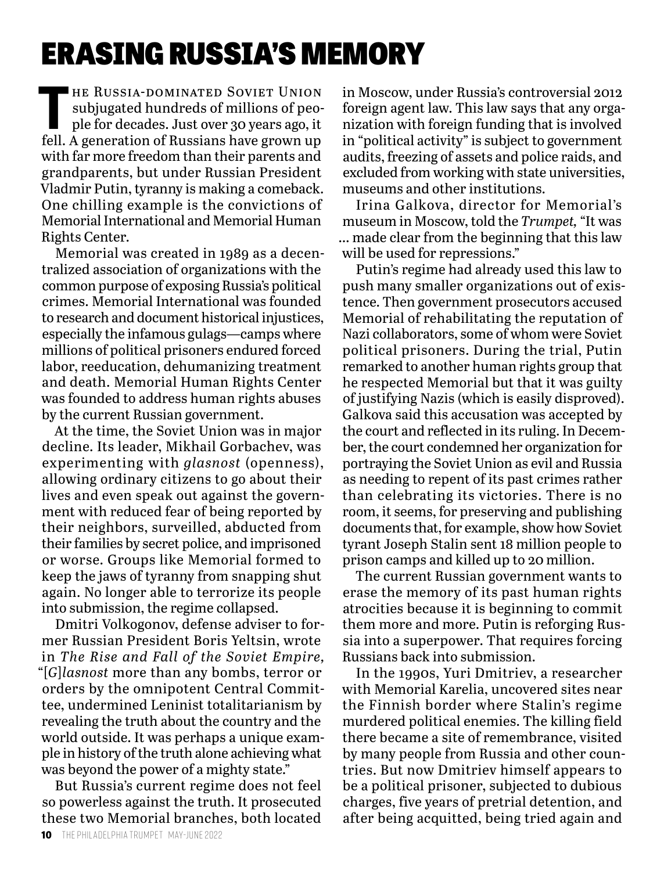### ERASING RUSSIA'S MEMORY

THE RUSSIA-DOMINATED SOVIET UNION<br>
subjugated hundreds of millions of peo-<br>
ple for decades. Just over 30 years ago, it<br>
foll A gonomian of Pussians have grown up subjugated hundreds of millions of peofell. A generation of Russians have grown up with far more freedom than their parents and grandparents, but under Russian President Vladmir Putin, tyranny is making a comeback. One chilling example is the convictions of Memorial International and Memorial Human Rights Center.

Memorial was created in 1989 as a decentralized association of organizations with the common purpose of exposing Russia's political crimes. Memorial International was founded to research and document historical injustices, especially the infamous gulags—camps where millions of political prisoners endured forced labor, reeducation, dehumanizing treatment and death. Memorial Human Rights Center was founded to address human rights abuses by the current Russian government.

At the time, the Soviet Union was in major decline. Its leader, Mikhail Gorbachev, was experimenting with *glasnost* (openness), allowing ordinary citizens to go about their lives and even speak out against the government with reduced fear of being reported by their neighbors, surveilled, abducted from their families by secret police, and imprisoned or worse. Groups like Memorial formed to keep the jaws of tyranny from snapping shut again. No longer able to terrorize its people into submission, the regime collapsed.

Dmitri Volkogonov, defense adviser to former Russian President Boris Yeltsin, wrote in *The Rise and Fall of the Soviet Empire,*  "[*G*]*lasnost* more than any bombs, terror or orders by the omnipotent Central Committee, undermined Leninist totalitarianism by revealing the truth about the country and the world outside. It was perhaps a unique example in history of the truth alone achieving what was beyond the power of a mighty state."

But Russia's current regime does not feel so powerless against the truth. It prosecuted these two Memorial branches, both located

in Moscow, under Russia's controversial 2012 foreign agent law. This law says that any organization with foreign funding that is involved in "political activity" is subject to government audits, freezing of assets and police raids, and excluded from working with state universities, museums and other institutions.

Irina Galkova, director for Memorial's museum in Moscow, told the *Trumpet,* "It was … made clear from the beginning that this law will be used for repressions."

Putin's regime had already used this law to push many smaller organizations out of existence. Then government prosecutors accused Memorial of rehabilitating the reputation of Nazi collaborators, some of whom were Soviet political prisoners. During the trial, Putin remarked to another human rights group that he respected Memorial but that it was guilty of justifying Nazis (which is easily disproved). Galkova said this accusation was accepted by the court and reflected in its ruling. In December, the court condemned her organization for portraying the Soviet Union as evil and Russia as needing to repent of its past crimes rather than celebrating its victories. There is no room, it seems, for preserving and publishing documents that, for example, show how Soviet tyrant Joseph Stalin sent 18 million people to prison camps and killed up to 20 million.

The current Russian government wants to erase the memory of its past human rights atrocities because it is beginning to commit them more and more. Putin is reforging Russia into a superpower. That requires forcing Russians back into submission.

In the 1990s, Yuri Dmitriev, a researcher with Memorial Karelia, uncovered sites near the Finnish border where Stalin's regime murdered political enemies. The killing field there became a site of remembrance, visited by many people from Russia and other countries. But now Dmitriev himself appears to be a political prisoner, subjected to dubious charges, five years of pretrial detention, and after being acquitted, being tried again and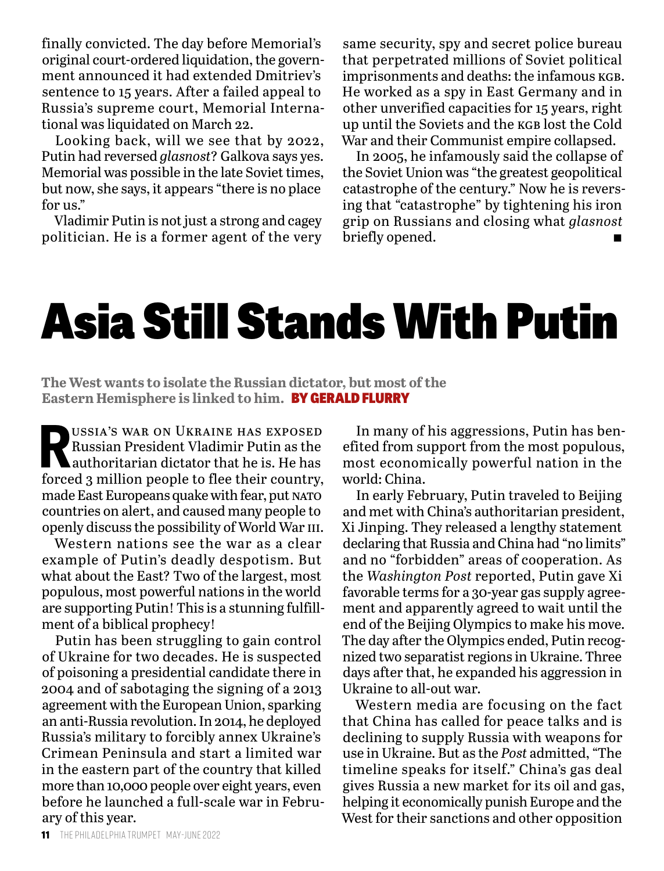finally convicted. The day before Memorial's original court-ordered liquidation, the government announced it had extended Dmitriev's sentence to 15 years. After a failed appeal to Russia's supreme court, Memorial International was liquidated on March 22.

Looking back, will we see that by 2022, Putin had reversed *glasnost*? Galkova says yes. Memorial was possible in the late Soviet times, but now, she says, it appears "there is no place for us."

Vladimir Putin is not just a strong and cagey politician. He is a former agent of the very

same security, spy and secret police bureau that perpetrated millions of Soviet political imprisonments and deaths: the infamous KGB. He worked as a spy in East Germany and in other unverified capacities for 15 years, right up until the Soviets and the kgb lost the Cold War and their Communist empire collapsed.

In 2005, he infamously said the collapse of the Soviet Union was "the greatest geopolitical catastrophe of the century." Now he is reversing that "catastrophe" by tightening his iron grip on Russians and closing what *glasnost*  briefly opened.

## Asia Still Stands With Putin

**The West wants to isolate the Russian dictator, but most of the Eastern Hemisphere is linked to him.** BY GERALD FLURRY

USSIA'S WAR ON UKRAINE HAS EXPOSED<br>Russian President Vladimir Putin as the<br>authoritarian dictator that he is. He has<br>forgod a million poople to floo their country Russian President Vladimir Putin as the authoritarian dictator that he is. He has forced 3 million people to flee their country, made East Europeans quake with fear, put NATO countries on alert, and caused many people to openly discuss the possibility of World War iii.

Western nations see the war as a clear example of Putin's deadly despotism. But what about the East? Two of the largest, most populous, most powerful nations in the world are supporting Putin! This is a stunning fulfillment of a biblical prophecy!

Putin has been struggling to gain control of Ukraine for two decades. He is suspected of poisoning a presidential candidate there in 2004 and of sabotaging the signing of a 2013 agreement with the European Union, sparking an anti-Russia revolution. In 2014, he deployed Russia's military to forcibly annex Ukraine's Crimean Peninsula and start a limited war in the eastern part of the country that killed more than 10,000 people over eight years, even before he launched a full-scale war in February of this year.

In many of his aggressions, Putin has benefited from support from the most populous, most economically powerful nation in the world: China.

In early February, Putin traveled to Beijing and met with China's authoritarian president, Xi Jinping. They released a lengthy statement declaring that Russia and China had "no limits" and no "forbidden" areas of cooperation. As the *Washington Post* reported, Putin gave Xi favorable terms for a 30-year gas supply agreement and apparently agreed to wait until the end of the Beijing Olympics to make his move. The day after the Olympics ended, Putin recognized two separatist regions in Ukraine. Three days after that, he expanded his aggression in Ukraine to all-out war.

Western media are focusing on the fact that China has called for peace talks and is declining to supply Russia with weapons for use in Ukraine. But as the *Post* admitted, "The timeline speaks for itself." China's gas deal gives Russia a new market for its oil and gas, helping it economically punish Europe and the West for their sanctions and other opposition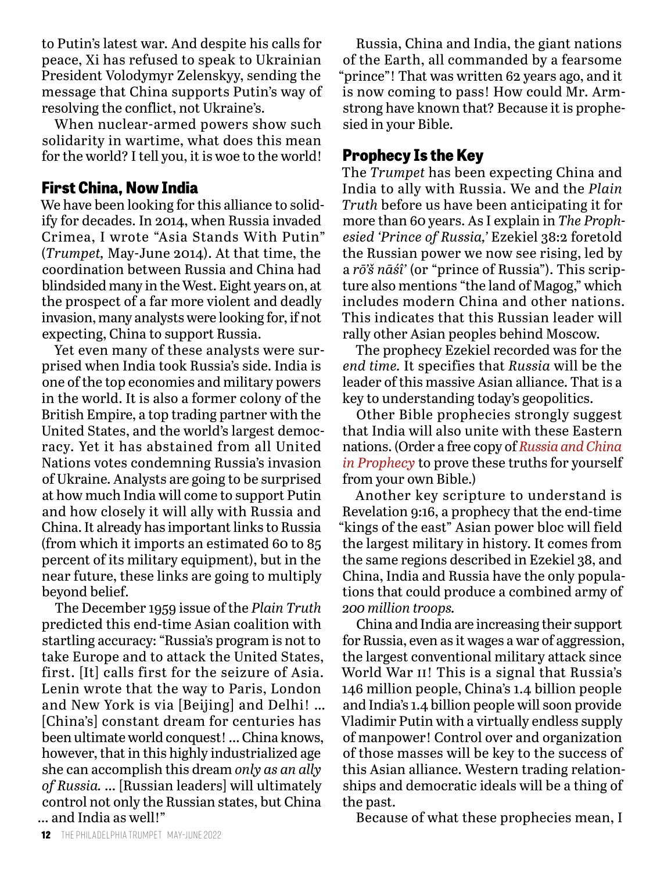to Putin's latest war. And despite his calls for peace, Xi has refused to speak to Ukrainian President Volodymyr Zelenskyy, sending the message that China supports Putin's way of resolving the conflict, not Ukraine's.

When nuclear-armed powers show such solidarity in wartime, what does this mean for the world? I tell you, it is woe to the world!

#### **First China, Now India**

We have been looking for this alliance to solidify for decades. In 2014, when Russia invaded Crimea, I wrote "Asia Stands With Putin" (*Trumpet,* May-June 2014). At that time, the coordination between Russia and China had blindsided many in the West. Eight years on, at the prospect of a far more violent and deadly invasion, many analysts were looking for, if not expecting, China to support Russia.

Yet even many of these analysts were surprised when India took Russia's side. India is one of the top economies and military powers in the world. It is also a former colony of the British Empire, a top trading partner with the United States, and the world's largest democracy. Yet it has abstained from all United Nations votes condemning Russia's invasion of Ukraine. Analysts are going to be surprised at how much India will come to support Putin and how closely it will ally with Russia and China. It already has important links to Russia (from which it imports an estimated 60 to 85 percent of its military equipment), but in the near future, these links are going to multiply beyond belief.

The December 1959 issue of the *Plain Truth* predicted this end-time Asian coalition with startling accuracy: "Russia's program is not to take Europe and to attack the United States, first. [It] calls first for the seizure of Asia. Lenin wrote that the way to Paris, London and New York is via [Beijing] and Delhi! … [China's] constant dream for centuries has been ultimate world conquest! … China knows, however, that in this highly industrialized age she can accomplish this dream *only as an ally of Russia.* … [Russian leaders] will ultimately control not only the Russian states, but China … and India as well!"

Russia, China and India, the giant nations of the Earth, all commanded by a fearsome "prince"! That was written 62 years ago, and it is now coming to pass! How could Mr. Armstrong have known that? Because it is prophesied in your Bible.

#### **Prophecy Is the Key**

The *Trumpet* has been expecting China and India to ally with Russia. We and the *Plain Truth* before us have been anticipating it for more than 60 years. As I explain in *The Prophesied 'Prince of Russia,'* Ezekiel 38:2 foretold the Russian power we now see rising, led by a *rō'š nāśî'* (or "prince of Russia"). This scripture also mentions "the land of Magog," which includes modern China and other nations. This indicates that this Russian leader will rally other Asian peoples behind Moscow.

The prophecy Ezekiel recorded was for the *end time.* It specifies that *Russia* will be the leader of this massive Asian alliance. That is a key to understanding today's geopolitics.

Other Bible prophecies strongly suggest that India will also unite with these Eastern nations. (Order a free copy of *Russia and China in Prophecy* to prove these truths for yourself from your own Bible.)

Another key scripture to understand is Revelation 9:16, a prophecy that the end-time "kings of the east" Asian power bloc will field the largest military in history. It comes from the same regions described in Ezekiel 38, and China, India and Russia have the only populations that could produce a combined army of *200 million troops.*

China and India are increasing their support for Russia, even as it wages a war of aggression, the largest conventional military attack since World War II! This is a signal that Russia's 146 million people, China's 1.4 billion people and India's 1.4 billion people will soon provide Vladimir Putin with a virtually endless supply of manpower! Control over and organization of those masses will be key to the success of this Asian alliance. Western trading relationships and democratic ideals will be a thing of the past.

Because of what these prophecies mean, I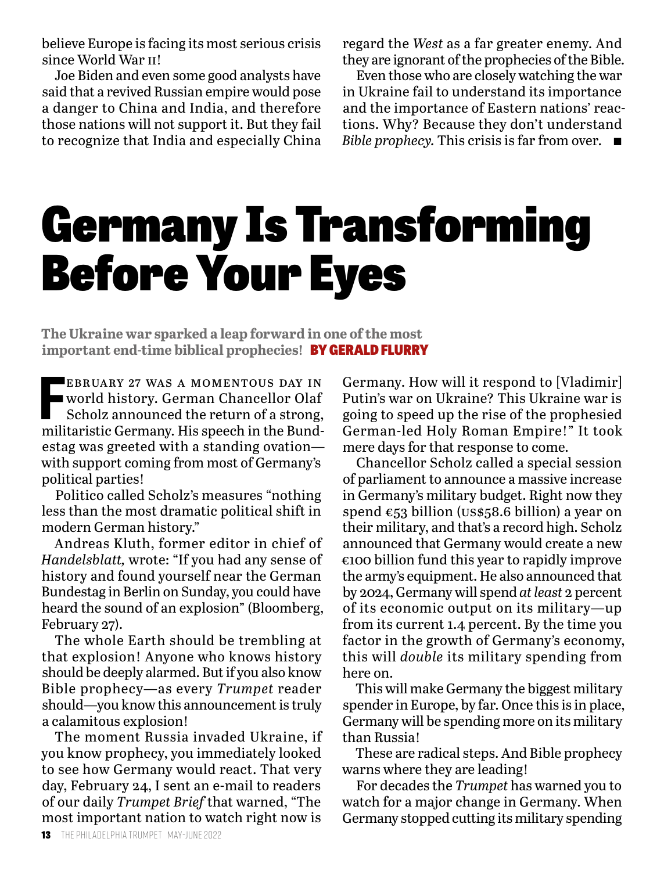believe Europe is facing its most serious crisis since World War ii!

Joe Biden and even some good analysts have said that a revived Russian empire would pose a danger to China and India, and therefore those nations will not support it. But they fail to recognize that India and especially China regard the *West* as a far greater enemy. And they are ignorant of the prophecies of the Bible.

Even those who are closely watching the war in Ukraine fail to understand its importance and the importance of Eastern nations' reactions. Why? Because they don't understand *Bible prophecy.* This crisis is far from over.  $\blacksquare$ 

# Germany Is Transforming Before Your Eyes

**The Ukraine war sparked a leap forward in one of the most important end-time biblical prophecies!** BY GERALD FLURRY

**FEBRUARY 27 WAS A MOMENTOUS DAY IN**<br> **FRIDARY 27 WAS A MOMENTOUS DAY IN**<br>
Scholz announced the return of a strong,<br>
militaristic Germany. His speech in the Bundebruary 27 was a momentous day in world history. German Chancellor Olaf Scholz announced the return of a strong, estag was greeted with a standing ovation with support coming from most of Germany's political parties!

Politico called Scholz's measures "nothing less than the most dramatic political shift in modern German history."

Andreas Kluth, former editor in chief of *Handelsblatt,* wrote: "If you had any sense of history and found yourself near the German Bundestag in Berlin on Sunday, you could have heard the sound of an explosion" (Bloomberg, February 27).

The whole Earth should be trembling at that explosion! Anyone who knows history should be deeply alarmed. But if you also know Bible prophecy—as every *Trumpet* reader should—you know this announcement is truly a calamitous explosion!

The moment Russia invaded Ukraine, if you know prophecy, you immediately looked to see how Germany would react. That very day, February 24, I sent an e-mail to readers of our daily *Trumpet Brief* that warned, "The most important nation to watch right now is

Germany. How will it respond to [Vladimir] Putin's war on Ukraine? This Ukraine war is going to speed up the rise of the prophesied German-led Holy Roman Empire!" It took mere days for that response to come.

Chancellor Scholz called a special session of parliament to announce a massive increase in Germany's military budget. Right now they spend €53 billion (us\$58.6 billion) a year on their military, and that's a record high. Scholz announced that Germany would create a new €100 billion fund this year to rapidly improve the army's equipment. He also announced that by 2024, Germany will spend *at least* 2 percent of its economic output on its military—up from its current 1.4 percent. By the time you factor in the growth of Germany's economy, this will *double* its military spending from here on.

This will make Germany the biggest military spender in Europe, by far. Once this is in place, Germany will be spending more on its military than Russia!

These are radical steps. And Bible prophecy warns where they are leading!

For decades the *Trumpet* has warned you to watch for a major change in Germany. When Germany stopped cutting its military spending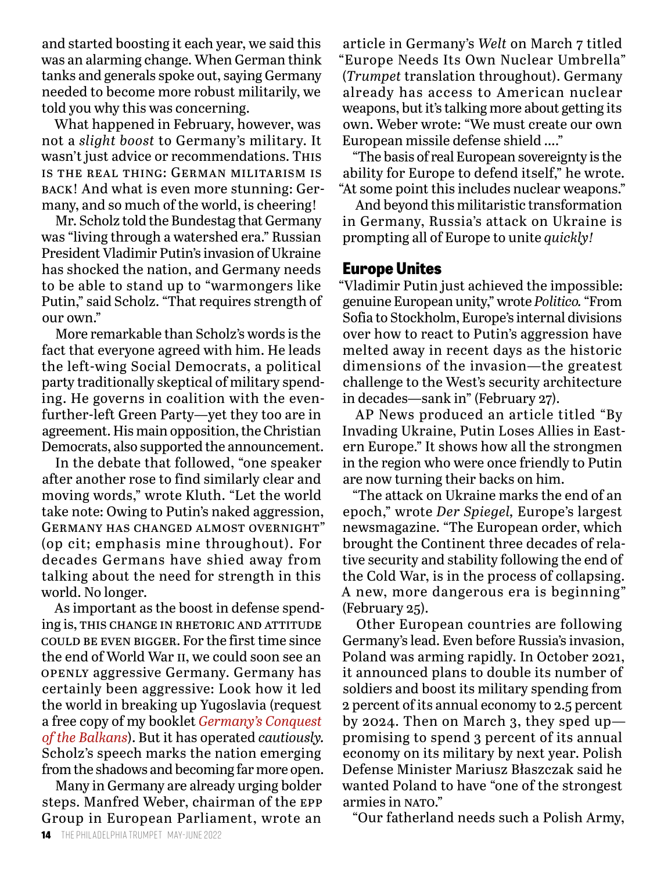and started boosting it each year, we said this was an alarming change. When German think tanks and generals spoke out, saying Germany needed to become more robust militarily, we told you why this was concerning.

What happened in February, however, was not a *slight boost* to Germany's military. It wasn't just advice or recommendations. This is the real thing: German militarism is back! And what is even more stunning: Germany, and so much of the world, is cheering!

Mr. Scholz told the Bundestag that Germany was "living through a watershed era." Russian President Vladimir Putin's invasion of Ukraine has shocked the nation, and Germany needs to be able to stand up to "warmongers like Putin," said Scholz. "That requires strength of our own."

More remarkable than Scholz's words is the fact that everyone agreed with him. He leads the left-wing Social Democrats, a political party traditionally skeptical of military spending. He governs in coalition with the evenfurther-left Green Party—yet they too are in agreement. His main opposition, the Christian Democrats, also supported the announcement.

In the debate that followed, "one speaker after another rose to find similarly clear and moving words," wrote Kluth. "Let the world take note: Owing to Putin's naked aggression, Germany has changed almost overnight" (op cit; emphasis mine throughout). For decades Germans have shied away from talking about the need for strength in this world. No longer.

As important as the boost in defense spending is, THIS CHANGE IN RHETORIC AND ATTITUDE could be even bigger. For the first time since the end of World War ii, we could soon see an openly aggressive Germany. Germany has certainly been aggressive: Look how it led the world in breaking up Yugoslavia (request a free copy of my booklet *Germany's Conquest of the Balkans*). But it has operated *cautiously.* Scholz's speech marks the nation emerging from the shadows and becoming far more open.

Many in Germany are already urging bolder steps. Manfred Weber, chairman of the epp Group in European Parliament, wrote an

article in Germany's *Welt* on March 7 titled "Europe Needs Its Own Nuclear Umbrella" (*Trumpet* translation throughout). Germany already has access to American nuclear weapons, but it's talking more about getting its own. Weber wrote: "We must create our own European missile defense shield …."

"The basis of real European sovereignty is the ability for Europe to defend itself," he wrote. "At some point this includes nuclear weapons."

And beyond this militaristic transformation in Germany, Russia's attack on Ukraine is prompting all of Europe to unite *quickly!*

#### **Europe Unites**

"Vladimir Putin just achieved the impossible: genuine European unity," wrote *Politico.* "From Sofia to Stockholm, Europe's internal divisions over how to react to Putin's aggression have melted away in recent days as the historic dimensions of the invasion—the greatest challenge to the West's security architecture in decades—sank in" (February 27).

AP News produced an article titled "By Invading Ukraine, Putin Loses Allies in Eastern Europe." It shows how all the strongmen in the region who were once friendly to Putin are now turning their backs on him.

"The attack on Ukraine marks the end of an epoch," wrote *Der Spiegel,* Europe's largest newsmagazine. "The European order, which brought the Continent three decades of relative security and stability following the end of the Cold War, is in the process of collapsing. A new, more dangerous era is beginning" (February 25).

Other European countries are following Germany's lead. Even before Russia's invasion, Poland was arming rapidly. In October 2021, it announced plans to double its number of soldiers and boost its military spending from 2 percent of its annual economy to 2.5 percent by 2024. Then on March 3, they sped up promising to spend 3 percent of its annual economy on its military by next year. Polish Defense Minister Mariusz Błaszczak said he wanted Poland to have "one of the strongest armies in NATO."

"Our fatherland needs such a Polish Army,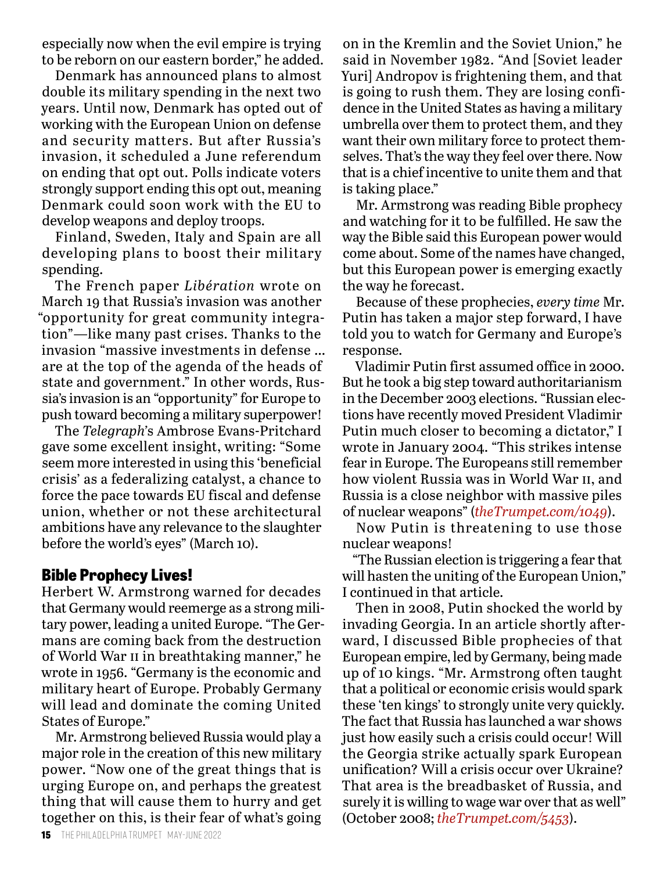especially now when the evil empire is trying to be reborn on our eastern border," he added.

Denmark has announced plans to almost double its military spending in the next two years. Until now, Denmark has opted out of working with the European Union on defense and security matters. But after Russia's invasion, it scheduled a June referendum on ending that opt out. Polls indicate voters strongly support ending this opt out, meaning Denmark could soon work with the EU to develop weapons and deploy troops.

Finland, Sweden, Italy and Spain are all developing plans to boost their military spending.

The French paper *Libération* wrote on March 19 that Russia's invasion was another "opportunity for great community integration"—like many past crises. Thanks to the invasion "massive investments in defense … are at the top of the agenda of the heads of state and government." In other words, Russia's invasion is an "opportunity" for Europe to push toward becoming a military superpower!

The *Telegraph'*s Ambrose Evans-Pritchard gave some excellent insight, writing: "Some seem more interested in using this 'beneficial crisis' as a federalizing catalyst, a chance to force the pace towards EU fiscal and defense union, whether or not these architectural ambitions have any relevance to the slaughter before the world's eyes" (March 10).

#### **Bible Prophecy Lives!**

Herbert W. Armstrong warned for decades that Germany would reemerge as a strong military power, leading a united Europe. "The Germans are coming back from the destruction of World War ii in breathtaking manner," he wrote in 1956. "Germany is the economic and military heart of Europe. Probably Germany will lead and dominate the coming United States of Europe."

Mr. Armstrong believed Russia would play a major role in the creation of this new military power. "Now one of the great things that is urging Europe on, and perhaps the greatest thing that will cause them to hurry and get together on this, is their fear of what's going

on in the Kremlin and the Soviet Union," he said in November 1982. "And [Soviet leader Yuri] Andropov is frightening them, and that is going to rush them. They are losing confidence in the United States as having a military umbrella over them to protect them, and they want their own military force to protect themselves. That's the way they feel over there. Now that is a chief incentive to unite them and that is taking place."

Mr. Armstrong was reading Bible prophecy and watching for it to be fulfilled. He saw the way the Bible said this European power would come about. Some of the names have changed, but this European power is emerging exactly the way he forecast.

Because of these prophecies, *every time* Mr. Putin has taken a major step forward, I have told you to watch for Germany and Europe's response.

Vladimir Putin first assumed office in 2000. But he took a big step toward authoritarianism in the December 2003 elections. "Russian elections have recently moved President Vladimir Putin much closer to becoming a dictator," I wrote in January 2004. "This strikes intense fear in Europe. The Europeans still remember how violent Russia was in World War ii, and Russia is a close neighbor with massive piles of nuclear weapons" (*theTrumpet.com/1049*).

Now Putin is threatening to use those nuclear weapons!

"The Russian election is triggering a fear that will hasten the uniting of the European Union," I continued in that article.

Then in 2008, Putin shocked the world by invading Georgia. In an article shortly afterward, I discussed Bible prophecies of that European empire, led by Germany, being made up of 10 kings. "Mr. Armstrong often taught that a political or economic crisis would spark these 'ten kings' to strongly unite very quickly. The fact that Russia has launched a war shows just how easily such a crisis could occur! Will the Georgia strike actually spark European unification? Will a crisis occur over Ukraine? That area is the breadbasket of Russia, and surely it is willing to wage war over that as well" (October 2008; *theTrumpet.com/5453*).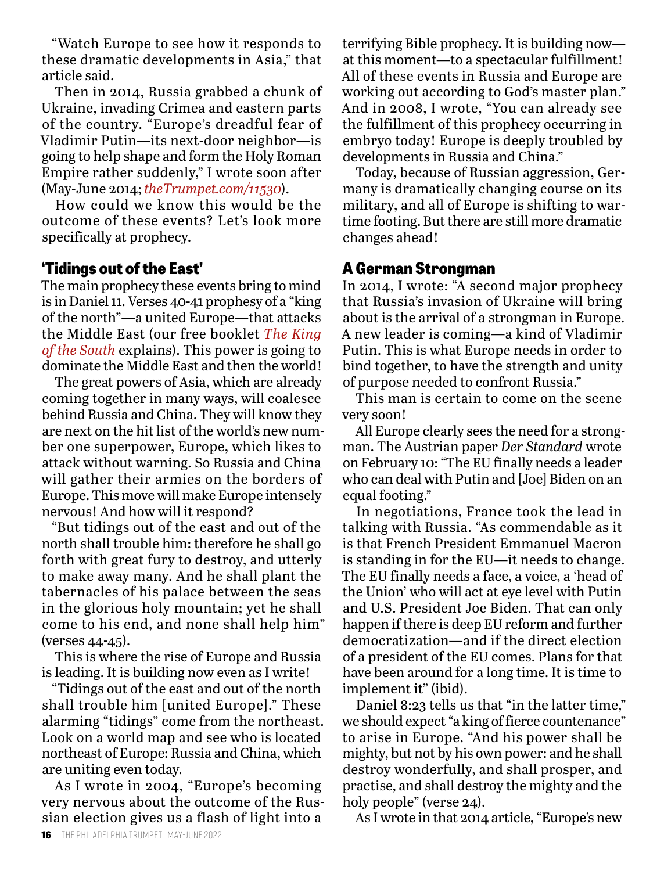"Watch Europe to see how it responds to these dramatic developments in Asia," that article said.

Then in 2014, Russia grabbed a chunk of Ukraine, invading Crimea and eastern parts of the country. "Europe's dreadful fear of Vladimir Putin—its next-door neighbor—is going to help shape and form the Holy Roman Empire rather suddenly," I wrote soon after (May-June 2014; *theTrumpet.com/11530*).

How could we know this would be the outcome of these events? Let's look more specifically at prophecy.

#### **'Tidings out of the East'**

The main prophecy these events bring to mind is in Daniel 11. Verses 40-41 prophesy of a "king of the north"—a united Europe—that attacks the Middle East (our free booklet *The King of the South* explains). This power is going to dominate the Middle East and then the world!

The great powers of Asia, which are already coming together in many ways, will coalesce behind Russia and China. They will know they are next on the hit list of the world's new number one superpower, Europe, which likes to attack without warning. So Russia and China will gather their armies on the borders of Europe. This move will make Europe intensely nervous! And how will it respond?

"But tidings out of the east and out of the north shall trouble him: therefore he shall go forth with great fury to destroy, and utterly to make away many. And he shall plant the tabernacles of his palace between the seas in the glorious holy mountain; yet he shall come to his end, and none shall help him" (verses 44-45).

This is where the rise of Europe and Russia is leading. It is building now even as I write!

"Tidings out of the east and out of the north shall trouble him [united Europe]." These alarming "tidings" come from the northeast. Look on a world map and see who is located northeast of Europe: Russia and China, which are uniting even today.

As I wrote in 2004, "Europe's becoming very nervous about the outcome of the Russian election gives us a flash of light into a

terrifying Bible prophecy. It is building now at this moment—to a spectacular fulfillment! All of these events in Russia and Europe are working out according to God's master plan." And in 2008, I wrote, "You can already see the fulfillment of this prophecy occurring in embryo today! Europe is deeply troubled by developments in Russia and China."

Today, because of Russian aggression, Germany is dramatically changing course on its military, and all of Europe is shifting to wartime footing. But there are still more dramatic changes ahead!

#### **A German Strongman**

In 2014, I wrote: "A second major prophecy that Russia's invasion of Ukraine will bring about is the arrival of a strongman in Europe. A new leader is coming—a kind of Vladimir Putin. This is what Europe needs in order to bind together, to have the strength and unity of purpose needed to confront Russia."

This man is certain to come on the scene very soon!

All Europe clearly sees the need for a strongman. The Austrian paper *Der Standard* wrote on February 10: "The EU finally needs a leader who can deal with Putin and [Joe] Biden on an equal footing."

In negotiations, France took the lead in talking with Russia. "As commendable as it is that French President Emmanuel Macron is standing in for the EU—it needs to change. The EU finally needs a face, a voice, a 'head of the Union' who will act at eye level with Putin and U.S. President Joe Biden. That can only happen if there is deep EU reform and further democratization—and if the direct election of a president of the EU comes. Plans for that have been around for a long time. It is time to implement it" (ibid).

Daniel 8:23 tells us that "in the latter time," we should expect "a king of fierce countenance" to arise in Europe. "And his power shall be mighty, but not by his own power: and he shall destroy wonderfully, and shall prosper, and practise, and shall destroy the mighty and the holy people" (verse 24).

As I wrote in that 2014 article, "Europe's new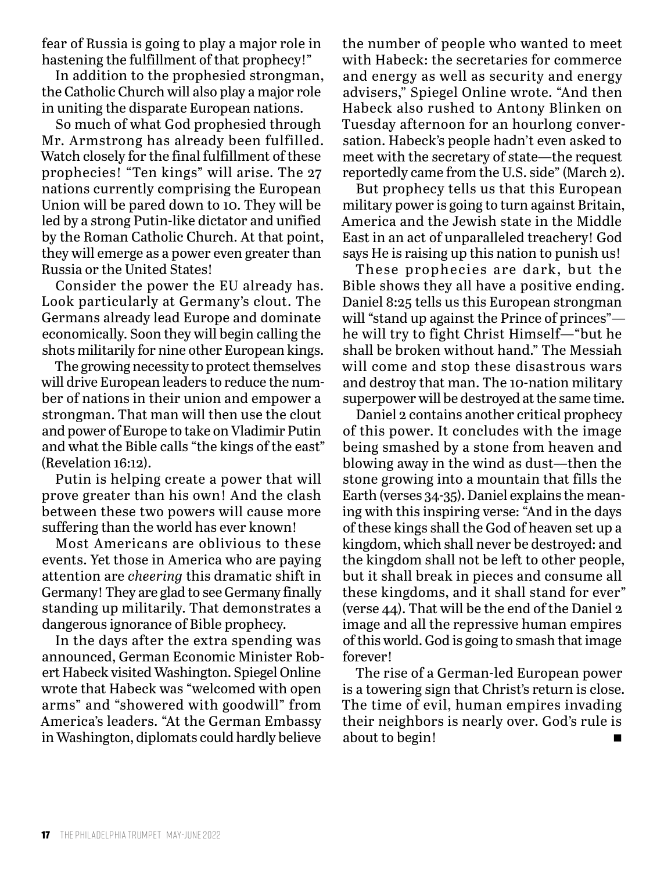fear of Russia is going to play a major role in hastening the fulfillment of that prophecy!"

In addition to the prophesied strongman, the Catholic Church will also play a major role in uniting the disparate European nations.

So much of what God prophesied through Mr. Armstrong has already been fulfilled. Watch closely for the final fulfillment of these prophecies! "Ten kings" will arise. The 27 nations currently comprising the European Union will be pared down to 10. They will be led by a strong Putin-like dictator and unified by the Roman Catholic Church. At that point, they will emerge as a power even greater than Russia or the United States!

Consider the power the EU already has. Look particularly at Germany's clout. The Germans already lead Europe and dominate economically. Soon they will begin calling the shots militarily for nine other European kings.

The growing necessity to protect themselves will drive European leaders to reduce the number of nations in their union and empower a strongman. That man will then use the clout and power of Europe to take on Vladimir Putin and what the Bible calls "the kings of the east" (Revelation 16:12).

Putin is helping create a power that will prove greater than his own! And the clash between these two powers will cause more suffering than the world has ever known!

Most Americans are oblivious to these events. Yet those in America who are paying attention are *cheering* this dramatic shift in Germany! They are glad to see Germany finally standing up militarily. That demonstrates a dangerous ignorance of Bible prophecy.

In the days after the extra spending was announced, German Economic Minister Robert Habeck visited Washington. Spiegel Online wrote that Habeck was "welcomed with open arms" and "showered with goodwill" from America's leaders. "At the German Embassy in Washington, diplomats could hardly believe

the number of people who wanted to meet with Habeck: the secretaries for commerce and energy as well as security and energy advisers," Spiegel Online wrote. "And then Habeck also rushed to Antony Blinken on Tuesday afternoon for an hourlong conversation. Habeck's people hadn't even asked to meet with the secretary of state—the request reportedly came from the U.S. side" (March 2).

But prophecy tells us that this European military power is going to turn against Britain, America and the Jewish state in the Middle East in an act of unparalleled treachery! God says He is raising up this nation to punish us!

These prophecies are dark, but the Bible shows they all have a positive ending. Daniel 8:25 tells us this European strongman will "stand up against the Prince of princes" he will try to fight Christ Himself—"but he shall be broken without hand." The Messiah will come and stop these disastrous wars and destroy that man. The 10-nation military superpower will be destroyed at the same time.

Daniel 2 contains another critical prophecy of this power. It concludes with the image being smashed by a stone from heaven and blowing away in the wind as dust—then the stone growing into a mountain that fills the Earth (verses 34-35). Daniel explains the meaning with this inspiring verse: "And in the days of these kings shall the God of heaven set up a kingdom, which shall never be destroyed: and the kingdom shall not be left to other people, but it shall break in pieces and consume all these kingdoms, and it shall stand for ever" (verse 44). That will be the end of the Daniel 2 image and all the repressive human empires of this world. God is going to smash that image forever!

The rise of a German-led European power is a towering sign that Christ's return is close. The time of evil, human empires invading their neighbors is nearly over. God's rule is about to begin!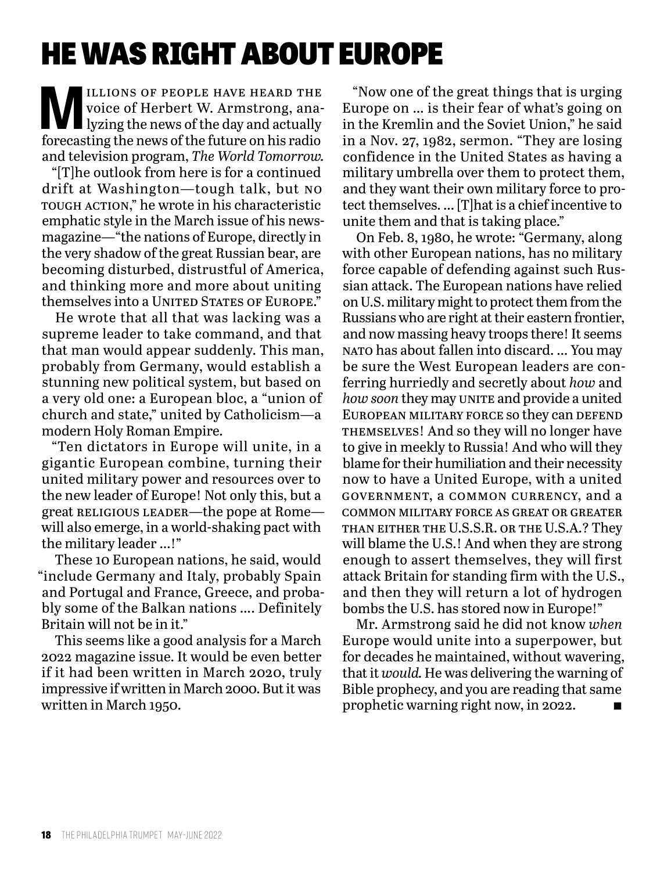### HE WAS RIGHT ABOUT EUROPE

ILLIONS OF PEOPLE HAVE HEARD THE<br>Voice of Herbert W. Armstrong, ana-<br>lyzing the news of the day and actually<br>forecasting the news of the future on his radio voice of Herbert W. Armstrong, analyzing the news of the day and actually forecasting the news of the future on his radio and television program, *The World Tomorrow.* 

"[T]he outlook from here is for a continued drift at Washington—tough talk, but no tough action," he wrote in his characteristic emphatic style in the March issue of his newsmagazine—"the nations of Europe, directly in the very shadow of the great Russian bear, are becoming disturbed, distrustful of America, and thinking more and more about uniting themselves into a UNITED STATES OF EUROPE."

He wrote that all that was lacking was a supreme leader to take command, and that that man would appear suddenly. This man, probably from Germany, would establish a stunning new political system, but based on a very old one: a European bloc, a "union of church and state," united by Catholicism—a modern Holy Roman Empire.

"Ten dictators in Europe will unite, in a gigantic European combine, turning their united military power and resources over to the new leader of Europe! Not only this, but a great RELIGIOUS LEADER—the pope at Rome will also emerge, in a world-shaking pact with the military leader …!"

These 10 European nations, he said, would "include Germany and Italy, probably Spain and Portugal and France, Greece, and probably some of the Balkan nations …. Definitely Britain will not be in it."

This seems like a good analysis for a March 2022 magazine issue. It would be even better if it had been written in March 2020, truly impressive if written in March 2000. But it was written in March 1950.

"Now one of the great things that is urging Europe on … is their fear of what's going on in the Kremlin and the Soviet Union," he said in a Nov. 27, 1982, sermon. "They are losing confidence in the United States as having a military umbrella over them to protect them, and they want their own military force to protect themselves. … [T]hat is a chief incentive to unite them and that is taking place."

On Feb. 8, 1980, he wrote: "Germany, along with other European nations, has no military force capable of defending against such Russian attack. The European nations have relied on U.S. military might to protect them from the Russians who are right at their eastern frontier, and now massing heavy troops there! It seems nato has about fallen into discard. … You may be sure the West European leaders are conferring hurriedly and secretly about *how* and *how soon* they may UNITE and provide a united European military force so they can defend themselves! And so they will no longer have to give in meekly to Russia! And who will they blame for their humiliation and their necessity now to have a United Europe, with a united government, a common currency, and a common military force as great or greater than either the U.S.S.R. or the U.S.A.? They will blame the U.S.! And when they are strong enough to assert themselves, they will first attack Britain for standing firm with the U.S., and then they will return a lot of hydrogen bombs the U.S. has stored now in Europe!"

Mr. Armstrong said he did not know *when*  Europe would unite into a superpower, but for decades he maintained, without wavering, that it *would.* He was delivering the warning of Bible prophecy, and you are reading that same prophetic warning right now, in 2022.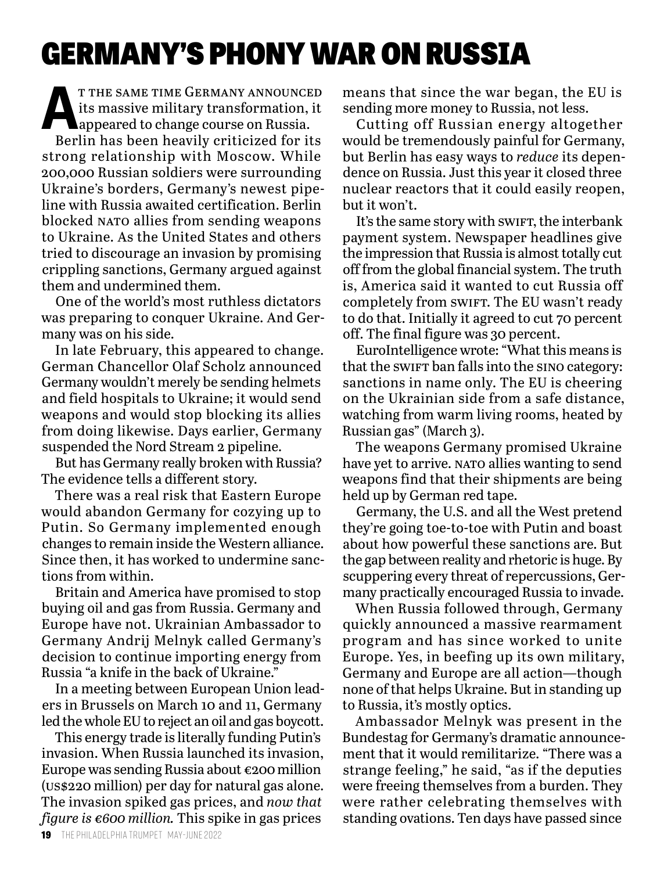### GERMANY'S PHONY WAR ON RUSSIA

T THE SAME TIME GERMANY ANNOUNCED<br>its massive military transformation, it<br>appeared to change course on Russia. its massive military transformation, it **Appeared to change course on Russia.** 

Berlin has been heavily criticized for its strong relationship with Moscow. While 200,000 Russian soldiers were surrounding Ukraine's borders, Germany's newest pipeline with Russia awaited certification. Berlin blocked nato allies from sending weapons to Ukraine. As the United States and others tried to discourage an invasion by promising crippling sanctions, Germany argued against them and undermined them.

One of the world's most ruthless dictators was preparing to conquer Ukraine. And Germany was on his side.

In late February, this appeared to change. German Chancellor Olaf Scholz announced Germany wouldn't merely be sending helmets and field hospitals to Ukraine; it would send weapons and would stop blocking its allies from doing likewise. Days earlier, Germany suspended the Nord Stream 2 pipeline.

But has Germany really broken with Russia? The evidence tells a different story.

There was a real risk that Eastern Europe would abandon Germany for cozying up to Putin. So Germany implemented enough changes to remain inside the Western alliance. Since then, it has worked to undermine sanctions from within.

Britain and America have promised to stop buying oil and gas from Russia. Germany and Europe have not. Ukrainian Ambassador to Germany Andrij Melnyk called Germany's decision to continue importing energy from Russia "a knife in the back of Ukraine."

In a meeting between European Union leaders in Brussels on March 10 and 11, Germany led the whole EU to reject an oil and gas boycott.

This energy trade is literally funding Putin's invasion. When Russia launched its invasion, Europe was sending Russia about €200 million (us\$220 million) per day for natural gas alone. The invasion spiked gas prices, and *now that figure is €600 million.* This spike in gas prices

means that since the war began, the EU is sending more money to Russia, not less.

Cutting off Russian energy altogether would be tremendously painful for Germany, but Berlin has easy ways to *reduce* its dependence on Russia. Just this year it closed three nuclear reactors that it could easily reopen, but it won't.

It's the same story with swift, the interbank payment system. Newspaper headlines give the impression that Russia is almost totally cut off from the global financial system. The truth is, America said it wanted to cut Russia off completely from swift. The EU wasn't ready to do that. Initially it agreed to cut 70 percent off. The final figure was 30 percent.

EuroIntelligence wrote: "What this means is that the swift ban falls into the sino category: sanctions in name only. The EU is cheering on the Ukrainian side from a safe distance, watching from warm living rooms, heated by Russian gas" (March 3).

The weapons Germany promised Ukraine have yet to arrive. NATO allies wanting to send weapons find that their shipments are being held up by German red tape.

Germany, the U.S. and all the West pretend they're going toe-to-toe with Putin and boast about how powerful these sanctions are. But the gap between reality and rhetoric is huge. By scuppering every threat of repercussions, Germany practically encouraged Russia to invade.

When Russia followed through, Germany quickly announced a massive rearmament program and has since worked to unite Europe. Yes, in beefing up its own military, Germany and Europe are all action—though none of that helps Ukraine. But in standing up to Russia, it's mostly optics.

Ambassador Melnyk was present in the Bundestag for Germany's dramatic announcement that it would remilitarize. "There was a strange feeling," he said, "as if the deputies were freeing themselves from a burden. They were rather celebrating themselves with standing ovations. Ten days have passed since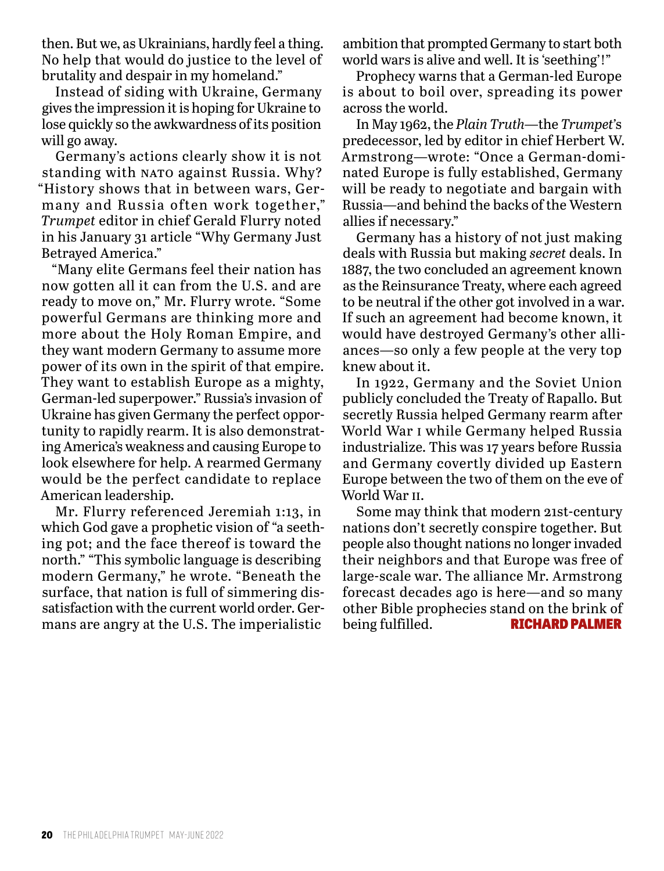then. But we, as Ukrainians, hardly feel a thing. No help that would do justice to the level of brutality and despair in my homeland."

Instead of siding with Ukraine, Germany gives the impression it is hoping for Ukraine to lose quickly so the awkwardness of its position will go away.

Germany's actions clearly show it is not standing with NATO against Russia. Why? "History shows that in between wars, Germany and Russia often work together," *Trumpet* editor in chief Gerald Flurry noted in his January 31 article "Why Germany Just Betrayed America."

"Many elite Germans feel their nation has now gotten all it can from the U.S. and are ready to move on," Mr. Flurry wrote. "Some powerful Germans are thinking more and more about the Holy Roman Empire, and they want modern Germany to assume more power of its own in the spirit of that empire. They want to establish Europe as a mighty, German-led superpower." Russia's invasion of Ukraine has given Germany the perfect opportunity to rapidly rearm. It is also demonstrating America's weakness and causing Europe to look elsewhere for help. A rearmed Germany would be the perfect candidate to replace American leadership.

Mr. Flurry referenced Jeremiah 1:13, in which God gave a prophetic vision of "a seething pot; and the face thereof is toward the north." "This symbolic language is describing modern Germany," he wrote. "Beneath the surface, that nation is full of simmering dissatisfaction with the current world order. Germans are angry at the U.S. The imperialistic

ambition that prompted Germany to start both world wars is alive and well. It is 'seething'!"

Prophecy warns that a German-led Europe is about to boil over, spreading its power across the world.

In May 1962, the *Plain Truth*—the *Trumpet'*s predecessor, led by editor in chief Herbert W. Armstrong—wrote: "Once a German-dominated Europe is fully established, Germany will be ready to negotiate and bargain with Russia—and behind the backs of the Western allies if necessary."

Germany has a history of not just making deals with Russia but making *secret* deals. In 1887, the two concluded an agreement known as the Reinsurance Treaty, where each agreed to be neutral if the other got involved in a war. If such an agreement had become known, it would have destroyed Germany's other alliances—so only a few people at the very top knew about it.

In 1922, Germany and the Soviet Union publicly concluded the Treaty of Rapallo. But secretly Russia helped Germany rearm after World War i while Germany helped Russia industrialize. This was 17 years before Russia and Germany covertly divided up Eastern Europe between the two of them on the eve of World War ii.

Some may think that modern 21st-century nations don't secretly conspire together. But people also thought nations no longer invaded their neighbors and that Europe was free of large-scale war. The alliance Mr. Armstrong forecast decades ago is here—and so many other Bible prophecies stand on the brink of being fulfilled. **RICHARD PALMER**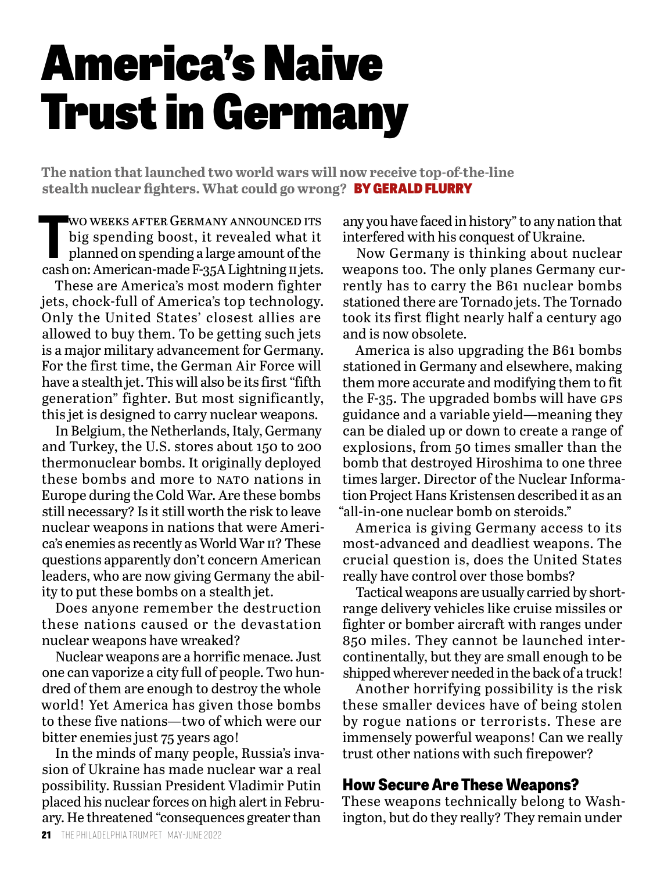## America's Naive Trust in Germany

**The nation that launched two world wars will now receive top-of-the-line stealth nuclear fighters. What could go wrong?** BY GERALD FLURRY

WO WEEKS AFTER GERMANY ANNOUNCED ITS<br>big spending boost, it revealed what it<br>planned on spending a large amount of the<br>cash on: American-made F-35A Lightning II jets. wo weeks after Germany announced its big spending boost, it revealed what it planned on spending a large amount of the

These are America's most modern fighter jets, chock-full of America's top technology. Only the United States' closest allies are allowed to buy them. To be getting such jets is a major military advancement for Germany. For the first time, the German Air Force will have a stealth jet. This will also be its first "fifth generation" fighter. But most significantly, this jet is designed to carry nuclear weapons.

In Belgium, the Netherlands, Italy, Germany and Turkey, the U.S. stores about 150 to 200 thermonuclear bombs. It originally deployed these bombs and more to NATO nations in Europe during the Cold War. Are these bombs still necessary? Is it still worth the risk to leave nuclear weapons in nations that were America's enemies as recently as World War ii? These questions apparently don't concern American leaders, who are now giving Germany the ability to put these bombs on a stealth jet.

Does anyone remember the destruction these nations caused or the devastation nuclear weapons have wreaked?

Nuclear weapons are a horrific menace. Just one can vaporize a city full of people. Two hundred of them are enough to destroy the whole world! Yet America has given those bombs to these five nations—two of which were our bitter enemies just 75 years ago!

In the minds of many people, Russia's invasion of Ukraine has made nuclear war a real possibility. Russian President Vladimir Putin placed his nuclear forces on high alert in February. He threatened "consequences greater than

any you have faced in history" to any nation that interfered with his conquest of Ukraine.

Now Germany is thinking about nuclear weapons too. The only planes Germany currently has to carry the B61 nuclear bombs stationed there are Tornado jets. The Tornado took its first flight nearly half a century ago and is now obsolete.

America is also upgrading the B61 bombs stationed in Germany and elsewhere, making them more accurate and modifying them to fit the F-35. The upgraded bombs will have GPS guidance and a variable yield—meaning they can be dialed up or down to create a range of explosions, from 50 times smaller than the bomb that destroyed Hiroshima to one three times larger. Director of the Nuclear Information Project Hans Kristensen described it as an "all-in-one nuclear bomb on steroids."

America is giving Germany access to its most-advanced and deadliest weapons. The crucial question is, does the United States really have control over those bombs?

Tactical weapons are usually carried by shortrange delivery vehicles like cruise missiles or fighter or bomber aircraft with ranges under 850 miles. They cannot be launched intercontinentally, but they are small enough to be shipped wherever needed in the back of a truck!

Another horrifying possibility is the risk these smaller devices have of being stolen by rogue nations or terrorists. These are immensely powerful weapons! Can we really trust other nations with such firepower?

#### **How Secure Are These Weapons?**

These weapons technically belong to Washington, but do they really? They remain under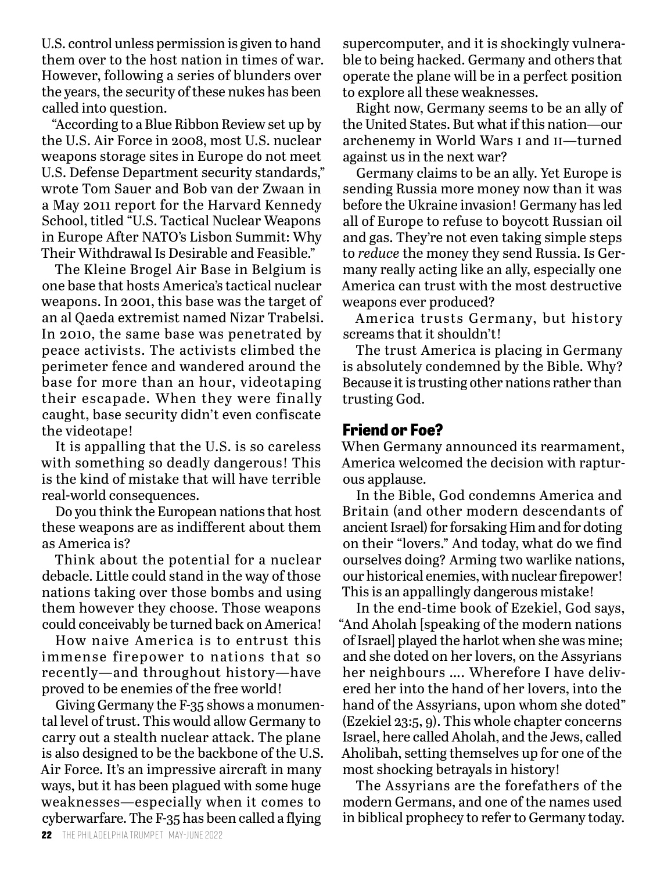U.S. control unless permission is given to hand them over to the host nation in times of war. However, following a series of blunders over the years, the security of these nukes has been called into question.

"According to a Blue Ribbon Review set up by the U.S. Air Force in 2008, most U.S. nuclear weapons storage sites in Europe do not meet U.S. Defense Department security standards," wrote Tom Sauer and Bob van der Zwaan in a May 2011 report for the Harvard Kennedy School, titled "U.S. Tactical Nuclear Weapons in Europe After NATO's Lisbon Summit: Why Their Withdrawal Is Desirable and Feasible."

The Kleine Brogel Air Base in Belgium is one base that hosts America's tactical nuclear weapons. In 2001, this base was the target of an al Qaeda extremist named Nizar Trabelsi. In 2010, the same base was penetrated by peace activists. The activists climbed the perimeter fence and wandered around the base for more than an hour, videotaping their escapade. When they were finally caught, base security didn't even confiscate the videotape!

It is appalling that the U.S. is so careless with something so deadly dangerous! This is the kind of mistake that will have terrible real-world consequences.

Do you think the European nations that host these weapons are as indifferent about them as America is?

Think about the potential for a nuclear debacle. Little could stand in the way of those nations taking over those bombs and using them however they choose. Those weapons could conceivably be turned back on America!

How naive America is to entrust this immense firepower to nations that so recently—and throughout history—have proved to be enemies of the free world!

Giving Germany the F-35 shows a monumental level of trust. This would allow Germany to carry out a stealth nuclear attack. The plane is also designed to be the backbone of the U.S. Air Force. It's an impressive aircraft in many ways, but it has been plagued with some huge weaknesses—especially when it comes to cyberwarfare. The F-35 has been called a flying

supercomputer, and it is shockingly vulnerable to being hacked. Germany and others that operate the plane will be in a perfect position to explore all these weaknesses.

Right now, Germany seems to be an ally of the United States. But what if this nation—our archenemy in World Wars i and ii—turned against us in the next war?

Germany claims to be an ally. Yet Europe is sending Russia more money now than it was before the Ukraine invasion! Germany has led all of Europe to refuse to boycott Russian oil and gas. They're not even taking simple steps to *reduce* the money they send Russia. Is Germany really acting like an ally, especially one America can trust with the most destructive weapons ever produced?

America trusts Germany, but history screams that it shouldn't!

The trust America is placing in Germany is absolutely condemned by the Bible. Why? Because it is trusting other nations rather than trusting God.

#### **Friend or Foe?**

When Germany announced its rearmament, America welcomed the decision with rapturous applause.

In the Bible, God condemns America and Britain (and other modern descendants of ancient Israel) for forsaking Him and for doting on their "lovers." And today, what do we find ourselves doing? Arming two warlike nations, our historical enemies, with nuclear firepower! This is an appallingly dangerous mistake!

In the end-time book of Ezekiel, God says, "And Aholah [speaking of the modern nations of Israel] played the harlot when she was mine; and she doted on her lovers, on the Assyrians her neighbours …. Wherefore I have delivered her into the hand of her lovers, into the hand of the Assyrians, upon whom she doted" (Ezekiel 23:5, 9). This whole chapter concerns Israel, here called Aholah, and the Jews, called Aholibah, setting themselves up for one of the most shocking betrayals in history!

The Assyrians are the forefathers of the modern Germans, and one of the names used in biblical prophecy to refer to Germany today.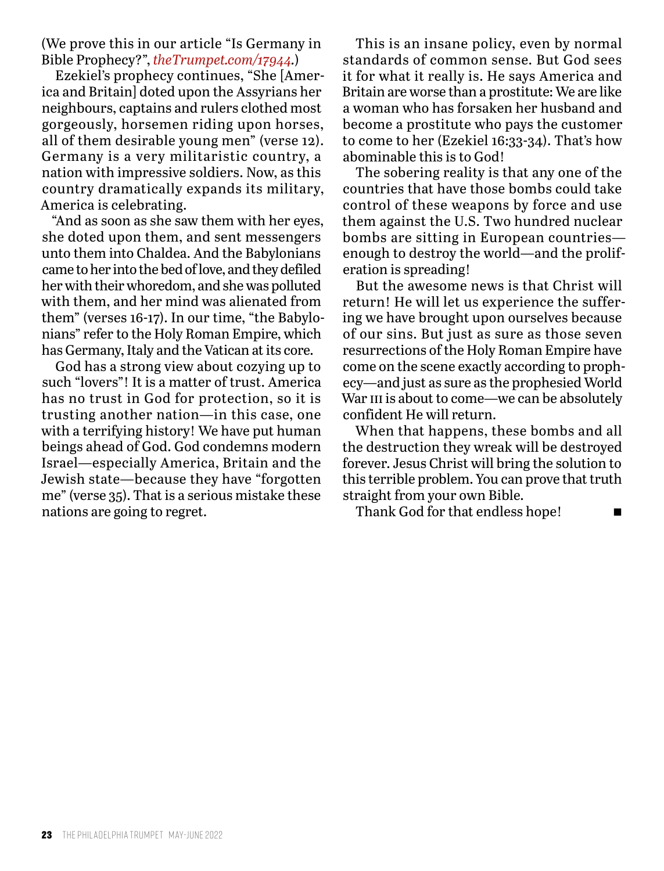(We prove this in our article "Is Germany in Bible Prophecy?", *theTrumpet.com/17944.*)

Ezekiel's prophecy continues, "She [America and Britain] doted upon the Assyrians her neighbours, captains and rulers clothed most gorgeously, horsemen riding upon horses, all of them desirable young men" (verse 12). Germany is a very militaristic country, a nation with impressive soldiers. Now, as this country dramatically expands its military, America is celebrating.

"And as soon as she saw them with her eyes, she doted upon them, and sent messengers unto them into Chaldea. And the Babylonians came to her into the bed of love, and they defiled her with their whoredom, and she was polluted with them, and her mind was alienated from them" (verses 16-17). In our time, "the Babylonians" refer to the Holy Roman Empire, which has Germany, Italy and the Vatican at its core.

God has a strong view about cozying up to such "lovers"! It is a matter of trust. America has no trust in God for protection, so it is trusting another nation—in this case, one with a terrifying history! We have put human beings ahead of God. God condemns modern Israel—especially America, Britain and the Jewish state—because they have "forgotten me" (verse 35). That is a serious mistake these nations are going to regret.

This is an insane policy, even by normal standards of common sense. But God sees it for what it really is. He says America and Britain are worse than a prostitute: We are like a woman who has forsaken her husband and become a prostitute who pays the customer to come to her (Ezekiel 16:33-34). That's how abominable this is to God!

The sobering reality is that any one of the countries that have those bombs could take control of these weapons by force and use them against the U.S. Two hundred nuclear bombs are sitting in European countries enough to destroy the world—and the proliferation is spreading!

But the awesome news is that Christ will return! He will let us experience the suffering we have brought upon ourselves because of our sins. But just as sure as those seven resurrections of the Holy Roman Empire have come on the scene exactly according to prophecy—and just as sure as the prophesied World War III is about to come—we can be absolutely confident He will return.

When that happens, these bombs and all the destruction they wreak will be destroyed forever. Jesus Christ will bring the solution to this terrible problem. You can prove that truth straight from your own Bible.

Thank God for that endless hope! $\blacksquare$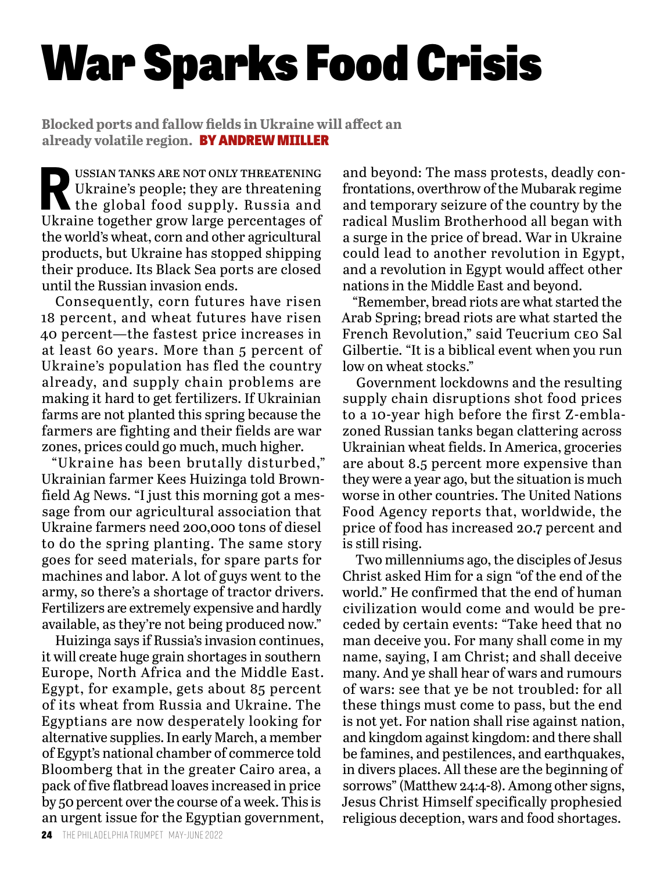# War Sparks Food Crisis

**Blocked ports and fallow fields in Ukraine will affect an already volatile region.** BY ANDREW MIILLER

**R** ussian tanks are not only threatening Ukraine's people; they are threatening the global food supply. Russia and Ukraine together grow large percentages of the world's wheat, corn and other agricultural products, but Ukraine has stopped shipping their produce. Its Black Sea ports are closed until the Russian invasion ends.

Consequently, corn futures have risen 18 percent, and wheat futures have risen 40 percent—the fastest price increases in at least 60 years. More than 5 percent of Ukraine's population has fled the country already, and supply chain problems are making it hard to get fertilizers. If Ukrainian farms are not planted this spring because the farmers are fighting and their fields are war zones, prices could go much, much higher.

"Ukraine has been brutally disturbed," Ukrainian farmer Kees Huizinga told Brownfield Ag News. "I just this morning got a message from our agricultural association that Ukraine farmers need 200,000 tons of diesel to do the spring planting. The same story goes for seed materials, for spare parts for machines and labor. A lot of guys went to the army, so there's a shortage of tractor drivers. Fertilizers are extremely expensive and hardly available, as they're not being produced now."

Huizinga says if Russia's invasion continues, it will create huge grain shortages in southern Europe, North Africa and the Middle East. Egypt, for example, gets about 85 percent of its wheat from Russia and Ukraine. The Egyptians are now desperately looking for alternative supplies. In early March, a member of Egypt's national chamber of commerce told Bloomberg that in the greater Cairo area, a pack of five flatbread loaves increased in price by 50 percent over the course of a week. This is an urgent issue for the Egyptian government,

and beyond: The mass protests, deadly confrontations, overthrow of the Mubarak regime and temporary seizure of the country by the radical Muslim Brotherhood all began with a surge in the price of bread. War in Ukraine could lead to another revolution in Egypt, and a revolution in Egypt would affect other nations in the Middle East and beyond.

"Remember, bread riots are what started the Arab Spring; bread riots are what started the French Revolution," said Teucrium ceo Sal Gilbertie. "It is a biblical event when you run low on wheat stocks."

Government lockdowns and the resulting supply chain disruptions shot food prices to a 10-year high before the first Z-emblazoned Russian tanks began clattering across Ukrainian wheat fields. In America, groceries are about 8.5 percent more expensive than they were a year ago, but the situation is much worse in other countries. The United Nations Food Agency reports that, worldwide, the price of food has increased 20.7 percent and is still rising.

Two millenniums ago, the disciples of Jesus Christ asked Him for a sign "of the end of the world." He confirmed that the end of human civilization would come and would be preceded by certain events: "Take heed that no man deceive you. For many shall come in my name, saying, I am Christ; and shall deceive many. And ye shall hear of wars and rumours of wars: see that ye be not troubled: for all these things must come to pass, but the end is not yet. For nation shall rise against nation, and kingdom against kingdom: and there shall be famines, and pestilences, and earthquakes, in divers places. All these are the beginning of sorrows" (Matthew 24:4-8). Among other signs, Jesus Christ Himself specifically prophesied religious deception, wars and food shortages.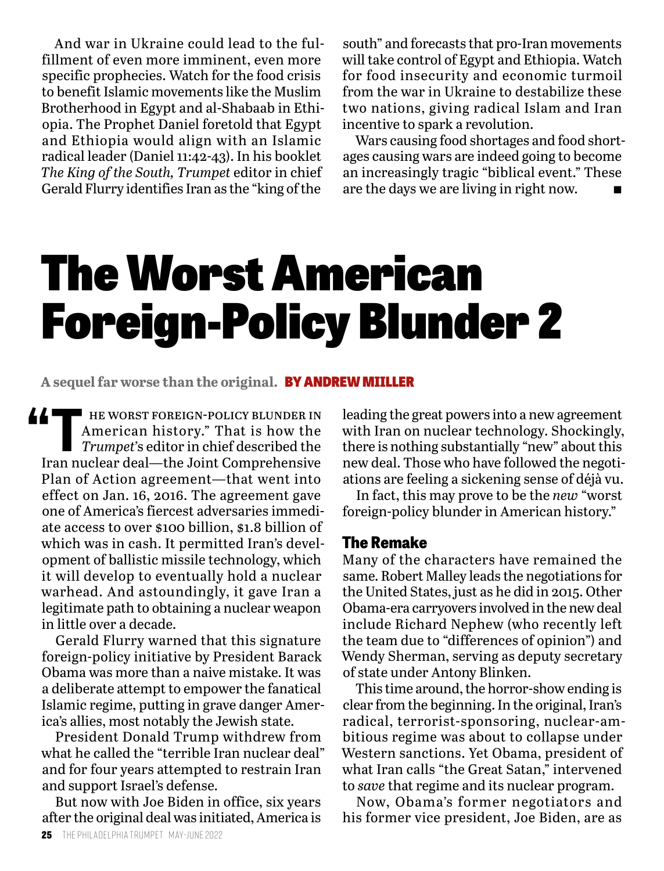And war in Ukraine could lead to the fulfillment of even more imminent, even more specific prophecies. Watch for the food crisis to benefit Islamic movements like the Muslim Brotherhood in Egypt and al-Shabaab in Ethiopia. The Prophet Daniel foretold that Egypt and Ethiopia would align with an Islamic radical leader (Daniel 11:42-43). In his booklet *The King of the South, Trumpet* editor in chief Gerald Flurry identifies Iran as the "king of the

south" and forecasts that pro-Iran movements will take control of Egypt and Ethiopia. Watch for food insecurity and economic turmoil from the war in Ukraine to destabilize these two nations, giving radical Islam and Iran incentive to spark a revolution.

Wars causing food shortages and food shortages causing wars are indeed going to become an increasingly tragic "biblical event." These are the days we are living in right now.

## The Worst American Foreign-Policy Blunder 2

**A sequel far worse than the original.** BY ANDREW MIILLER

**T** HE WORST FOREIGN-POLICY BLUNDER IN<br>American history." That is how the<br>Trumpet's editor in chief described the American history." That is how the *Trumpet'*s editor in chief described the Iran nuclear deal—the Joint Comprehensive Plan of Action agreement—that went into effect on Jan. 16, 2016. The agreement gave one of America's fiercest adversaries immediate access to over \$100 billion, \$1.8 billion of which was in cash. It permitted Iran's development of ballistic missile technology, which it will develop to eventually hold a nuclear warhead. And astoundingly, it gave Iran a legitimate path to obtaining a nuclear weapon in little over a decade.

Gerald Flurry warned that this signature foreign-policy initiative by President Barack Obama was more than a naive mistake. It was a deliberate attempt to empower the fanatical Islamic regime, putting in grave danger America's allies, most notably the Jewish state.

President Donald Trump withdrew from what he called the "terrible Iran nuclear deal" and for four years attempted to restrain Iran and support Israel's defense.

But now with Joe Biden in office, six years after the original deal was initiated, America is leading the great powers into a new agreement with Iran on nuclear technology. Shockingly, there is nothing substantially "new" about this new deal. Those who have followed the negotiations are feeling a sickening sense of déjà vu.

In fact, this may prove to be the *new* "worst foreign-policy blunder in American history."

#### **The Remake**

Many of the characters have remained the same. Robert Malley leads the negotiations for the United States, just as he did in 2015. Other Obama-era carryovers involved in the new deal include Richard Nephew (who recently left the team due to "differences of opinion") and Wendy Sherman, serving as deputy secretary of state under Antony Blinken.

This time around, the horror-show ending is clear from the beginning. In the original, Iran's radical, terrorist-sponsoring, nuclear-ambitious regime was about to collapse under Western sanctions. Yet Obama, president of what Iran calls "the Great Satan," intervened to *save* that regime and its nuclear program.

Now, Obama's former negotiators and his former vice president, Joe Biden, are as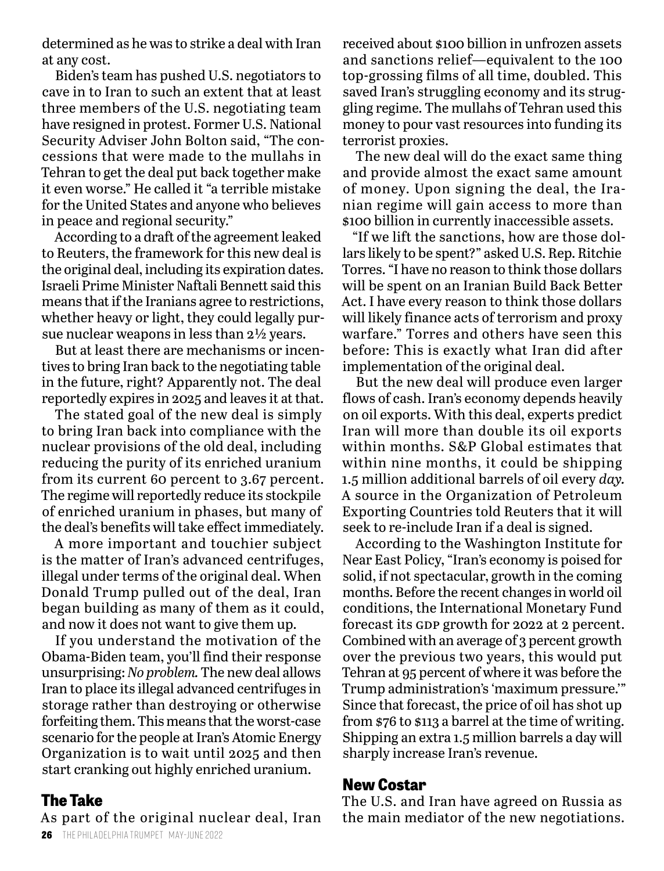determined as he was to strike a deal with Iran at any cost.

Biden's team has pushed U.S. negotiators to cave in to Iran to such an extent that at least three members of the U.S. negotiating team have resigned in protest. Former U.S. National Security Adviser John Bolton said, "The concessions that were made to the mullahs in Tehran to get the deal put back together make it even worse." He called it "a terrible mistake for the United States and anyone who believes in peace and regional security."

According to a draft of the agreement leaked to Reuters, the framework for this new deal is the original deal, including its expiration dates. Israeli Prime Minister Naftali Bennett said this means that if the Iranians agree to restrictions, whether heavy or light, they could legally pursue nuclear weapons in less than 2½ years.

But at least there are mechanisms or incentives to bring Iran back to the negotiating table in the future, right? Apparently not. The deal reportedly expires in 2025 and leaves it at that.

The stated goal of the new deal is simply to bring Iran back into compliance with the nuclear provisions of the old deal, including reducing the purity of its enriched uranium from its current 60 percent to 3.67 percent. The regime will reportedly reduce its stockpile of enriched uranium in phases, but many of the deal's benefits will take effect immediately.

A more important and touchier subject is the matter of Iran's advanced centrifuges, illegal under terms of the original deal. When Donald Trump pulled out of the deal, Iran began building as many of them as it could, and now it does not want to give them up.

If you understand the motivation of the Obama-Biden team, you'll find their response unsurprising: *No problem.* The new deal allows Iran to place its illegal advanced centrifuges in storage rather than destroying or otherwise forfeiting them. This means that the worst-case scenario for the people at Iran's Atomic Energy Organization is to wait until 2025 and then start cranking out highly enriched uranium.

#### **The Take**

As part of the original nuclear deal, Iran

received about \$100 billion in unfrozen assets and sanctions relief—equivalent to the 100 top-grossing films of all time, doubled. This saved Iran's struggling economy and its struggling regime. The mullahs of Tehran used this money to pour vast resources into funding its terrorist proxies.

The new deal will do the exact same thing and provide almost the exact same amount of money. Upon signing the deal, the Iranian regime will gain access to more than \$100 billion in currently inaccessible assets.

"If we lift the sanctions, how are those dollars likely to be spent?" asked U.S. Rep. Ritchie Torres. "I have no reason to think those dollars will be spent on an Iranian Build Back Better Act. I have every reason to think those dollars will likely finance acts of terrorism and proxy warfare." Torres and others have seen this before: This is exactly what Iran did after implementation of the original deal.

But the new deal will produce even larger flows of cash. Iran's economy depends heavily on oil exports. With this deal, experts predict Iran will more than double its oil exports within months. S&P Global estimates that within nine months, it could be shipping 1.5 million additional barrels of oil every *day.* A source in the Organization of Petroleum Exporting Countries told Reuters that it will seek to re-include Iran if a deal is signed.

According to the Washington Institute for Near East Policy, "Iran's economy is poised for solid, if not spectacular, growth in the coming months. Before the recent changes in world oil conditions, the International Monetary Fund forecast its GDP growth for 2022 at 2 percent. Combined with an average of 3 percent growth over the previous two years, this would put Tehran at 95 percent of where it was before the Trump administration's 'maximum pressure.'" Since that forecast, the price of oil has shot up from \$76 to \$113 a barrel at the time of writing. Shipping an extra 1.5 million barrels a day will sharply increase Iran's revenue.

#### **New Costar**

The U.S. and Iran have agreed on Russia as the main mediator of the new negotiations.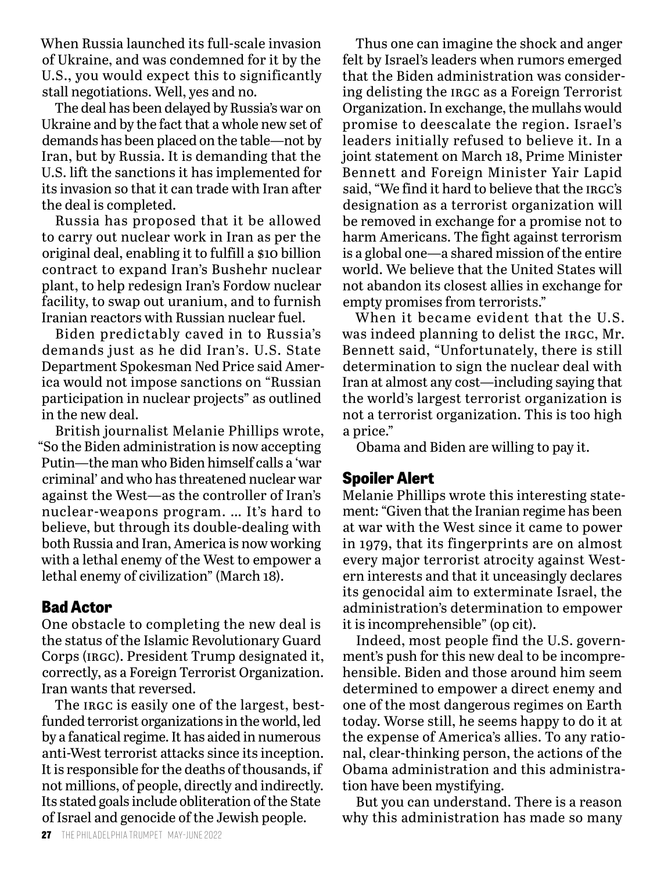When Russia launched its full-scale invasion of Ukraine, and was condemned for it by the U.S., you would expect this to significantly stall negotiations. Well, yes and no.

The deal has been delayed by Russia's war on Ukraine and by the fact that a whole new set of demands has been placed on the table—not by Iran, but by Russia. It is demanding that the U.S. lift the sanctions it has implemented for its invasion so that it can trade with Iran after the deal is completed.

Russia has proposed that it be allowed to carry out nuclear work in Iran as per the original deal, enabling it to fulfill a \$10 billion contract to expand Iran's Bushehr nuclear plant, to help redesign Iran's Fordow nuclear facility, to swap out uranium, and to furnish Iranian reactors with Russian nuclear fuel.

Biden predictably caved in to Russia's demands just as he did Iran's. U.S. State Department Spokesman Ned Price said America would not impose sanctions on "Russian participation in nuclear projects" as outlined in the new deal.

British journalist Melanie Phillips wrote, "So the Biden administration is now accepting Putin—the man who Biden himself calls a 'war criminal' and who has threatened nuclear war against the West—as the controller of Iran's nuclear-weapons program. … It's hard to believe, but through its double-dealing with both Russia and Iran, America is now working with a lethal enemy of the West to empower a lethal enemy of civilization" (March 18).

#### **Bad Actor**

One obstacle to completing the new deal is the status of the Islamic Revolutionary Guard Corps (irgc). President Trump designated it, correctly, as a Foreign Terrorist Organization. Iran wants that reversed.

The IRGC is easily one of the largest, bestfunded terrorist organizations in the world, led by a fanatical regime. It has aided in numerous anti-West terrorist attacks since its inception. It is responsible for the deaths of thousands, if not millions, of people, directly and indirectly. Its stated goals include obliteration of the State of Israel and genocide of the Jewish people.

Thus one can imagine the shock and anger felt by Israel's leaders when rumors emerged that the Biden administration was considering delisting the IRGC as a Foreign Terrorist Organization. In exchange, the mullahs would promise to deescalate the region. Israel's leaders initially refused to believe it. In a joint statement on March 18, Prime Minister Bennett and Foreign Minister Yair Lapid said, "We find it hard to believe that the IRGC's designation as a terrorist organization will be removed in exchange for a promise not to harm Americans. The fight against terrorism is a global one—a shared mission of the entire world. We believe that the United States will not abandon its closest allies in exchange for empty promises from terrorists."

When it became evident that the U.S. was indeed planning to delist the IRGC, Mr. Bennett said, "Unfortunately, there is still determination to sign the nuclear deal with Iran at almost any cost—including saying that the world's largest terrorist organization is not a terrorist organization. This is too high a price."

Obama and Biden are willing to pay it.

#### **Spoiler Alert**

Melanie Phillips wrote this interesting statement: "Given that the Iranian regime has been at war with the West since it came to power in 1979, that its fingerprints are on almost every major terrorist atrocity against Western interests and that it unceasingly declares its genocidal aim to exterminate Israel, the administration's determination to empower it is incomprehensible" (op cit).

Indeed, most people find the U.S. government's push for this new deal to be incomprehensible. Biden and those around him seem determined to empower a direct enemy and one of the most dangerous regimes on Earth today. Worse still, he seems happy to do it at the expense of America's allies. To any rational, clear-thinking person, the actions of the Obama administration and this administration have been mystifying.

But you can understand. There is a reason why this administration has made so many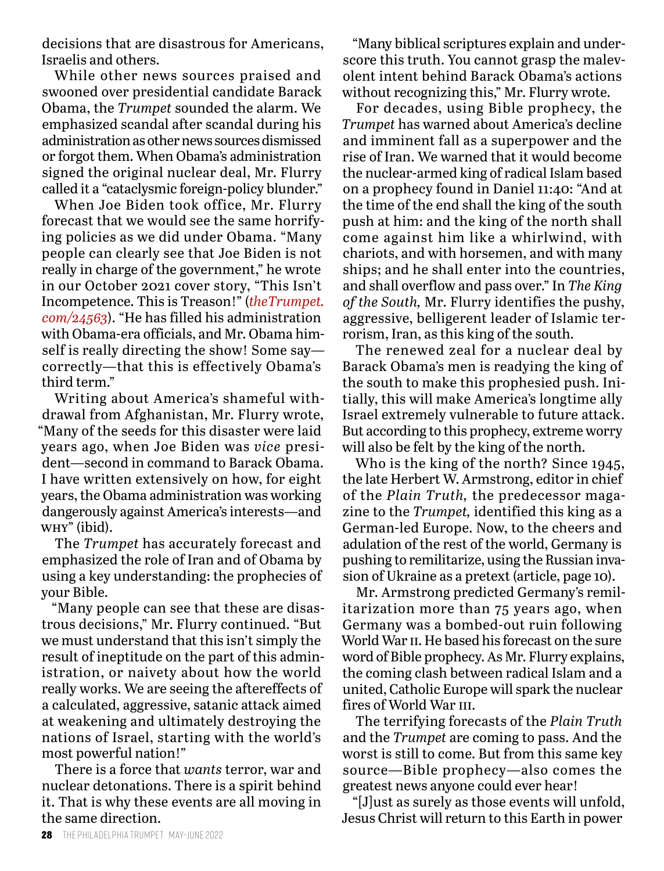decisions that are disastrous for Americans, Israelis and others.

While other news sources praised and swooned over presidential candidate Barack Obama, the *Trumpet* sounded the alarm. We emphasized scandal after scandal during his administration as other news sources dismissed or forgot them. When Obama's administration signed the original nuclear deal, Mr. Flurry called it a "cataclysmic foreign-policy blunder."

When Joe Biden took office, Mr. Flurry forecast that we would see the same horrifying policies as we did under Obama. "Many people can clearly see that Joe Biden is not really in charge of the government," he wrote in our October 2021 cover story, "This Isn't Incompetence. This is Treason!" (*theTrumpet. com/24563*). "He has filled his administration with Obama-era officials, and Mr. Obama himself is really directing the show! Some say correctly—that this is effectively Obama's third term."

Writing about America's shameful withdrawal from Afghanistan, Mr. Flurry wrote, "Many of the seeds for this disaster were laid years ago, when Joe Biden was *vice* president—second in command to Barack Obama. I have written extensively on how, for eight years, the Obama administration was working dangerously against America's interests—and why" (ibid).

The *Trumpet* has accurately forecast and emphasized the role of Iran and of Obama by using a key understanding: the prophecies of your Bible.

"Many people can see that these are disastrous decisions," Mr. Flurry continued. "But we must understand that this isn't simply the result of ineptitude on the part of this administration, or naivety about how the world really works. We are seeing the aftereffects of a calculated, aggressive, satanic attack aimed at weakening and ultimately destroying the nations of Israel, starting with the world's most powerful nation!"

There is a force that *wants* terror, war and nuclear detonations. There is a spirit behind it. That is why these events are all moving in the same direction.

"Many biblical scriptures explain and underscore this truth. You cannot grasp the malevolent intent behind Barack Obama's actions without recognizing this," Mr. Flurry wrote.

For decades, using Bible prophecy, the *Trumpet* has warned about America's decline and imminent fall as a superpower and the rise of Iran. We warned that it would become the nuclear-armed king of radical Islam based on a prophecy found in Daniel 11:40: "And at the time of the end shall the king of the south push at him: and the king of the north shall come against him like a whirlwind, with chariots, and with horsemen, and with many ships; and he shall enter into the countries, and shall overflow and pass over." In *The King of the South,* Mr. Flurry identifies the pushy, aggressive, belligerent leader of Islamic terrorism, Iran, as this king of the south.

The renewed zeal for a nuclear deal by Barack Obama's men is readying the king of the south to make this prophesied push. Initially, this will make America's longtime ally Israel extremely vulnerable to future attack. But according to this prophecy, extreme worry will also be felt by the king of the north.

Who is the king of the north? Since 1945, the late Herbert W. Armstrong, editor in chief of the *Plain Truth,* the predecessor magazine to the *Trumpet,* identified this king as a German-led Europe. Now, to the cheers and adulation of the rest of the world, Germany is pushing to remilitarize, using the Russian invasion of Ukraine as a pretext (article, page 10).

Mr. Armstrong predicted Germany's remilitarization more than 75 years ago, when Germany was a bombed-out ruin following World War ii. He based his forecast on the sure word of Bible prophecy. As Mr. Flurry explains, the coming clash between radical Islam and a united, Catholic Europe will spark the nuclear fires of World War III.

The terrifying forecasts of the *Plain Truth* and the *Trumpet* are coming to pass. And the worst is still to come. But from this same key source—Bible prophecy—also comes the greatest news anyone could ever hear!

"[J]ust as surely as those events will unfold, Jesus Christ will return to this Earth in power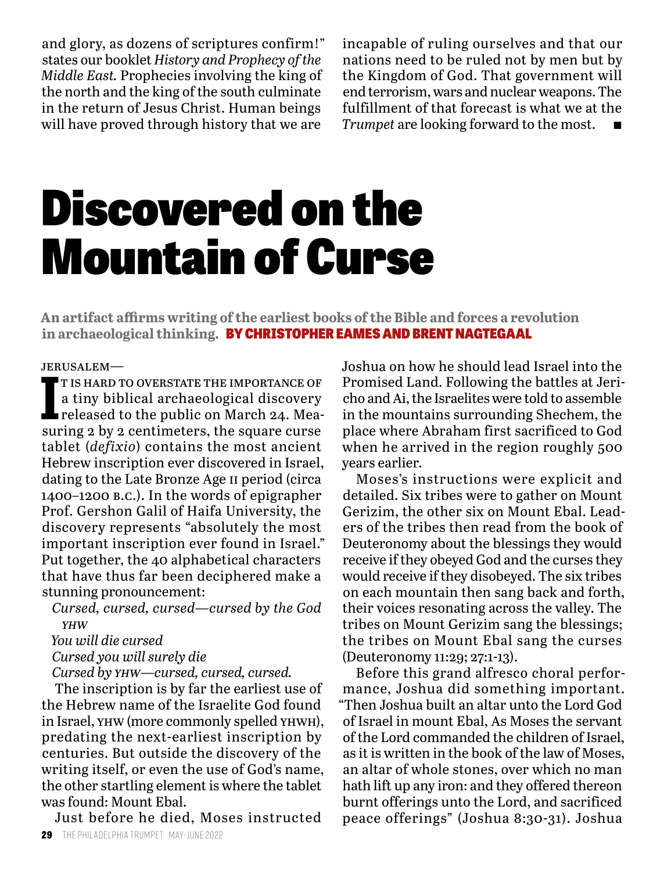and glory, as dozens of scriptures confirm!" states our booklet *History and Prophecy of the Middle East.* Prophecies involving the king of the north and the king of the south culminate in the return of Jesus Christ. Human beings will have proved through history that we are

incapable of ruling ourselves and that our nations need to be ruled not by men but by the Kingdom of God. That government will end terrorism, wars and nuclear weapons. The fulfillment of that forecast is what we at the *Trumpet* are looking forward to the most.

## Discovered on the Mountain of Curse

**An artifact affirms writing of the earliest books of the Bible and forces a revolution in archaeological thinking.** BY CHRISTOPHER EAMES AND BRENT NAGTEGAAL

jerusalem—

T IS HARD TO OVERSTATE THE IMPORTANCE OF a tiny biblical archaeological discovery released to the public on March 24. Measuring 2 by 2 centimeters, the square curse t is hard to overstate the importance of a tiny biblical archaeological discovery released to the public on March 24. Meatablet (*defixio*) contains the most ancient Hebrew inscription ever discovered in Israel, dating to the Late Bronze Age ii period (circa 1400–1200 b.c.). In the words of epigrapher Prof. Gershon Galil of Haifa University, the discovery represents "absolutely the most important inscription ever found in Israel." Put together, the 40 alphabetical characters that have thus far been deciphered make a stunning pronouncement:

*Cursed, cursed, cursed—cursed by the God yhw*

*You will die cursed*

*Cursed you will surely die*

*Cursed by yhw—cursed, cursed, cursed.*

The inscription is by far the earliest use of the Hebrew name of the Israelite God found in Israel, yhw (more commonly spelled yhwh), predating the next-earliest inscription by centuries. But outside the discovery of the writing itself, or even the use of God's name, the other startling element is where the tablet was found: Mount Ebal.

Just before he died, Moses instructed

Joshua on how he should lead Israel into the Promised Land. Following the battles at Jericho and Ai, the Israelites were told to assemble in the mountains surrounding Shechem, the place where Abraham first sacrificed to God when he arrived in the region roughly 500 years earlier.

Moses's instructions were explicit and detailed. Six tribes were to gather on Mount Gerizim, the other six on Mount Ebal. Leaders of the tribes then read from the book of Deuteronomy about the blessings they would receive if they obeyed God and the curses they would receive if they disobeyed. The six tribes on each mountain then sang back and forth, their voices resonating across the valley. The tribes on Mount Gerizim sang the blessings; the tribes on Mount Ebal sang the curses (Deuteronomy 11:29; 27:1-13).

Before this grand alfresco choral performance, Joshua did something important. "Then Joshua built an altar unto the Lord God of Israel in mount Ebal, As Moses the servant of the Lord commanded the children of Israel, as it is written in the book of the law of Moses, an altar of whole stones, over which no man hath lift up any iron: and they offered thereon burnt offerings unto the Lord, and sacrificed peace offerings" (Joshua 8:30-31). Joshua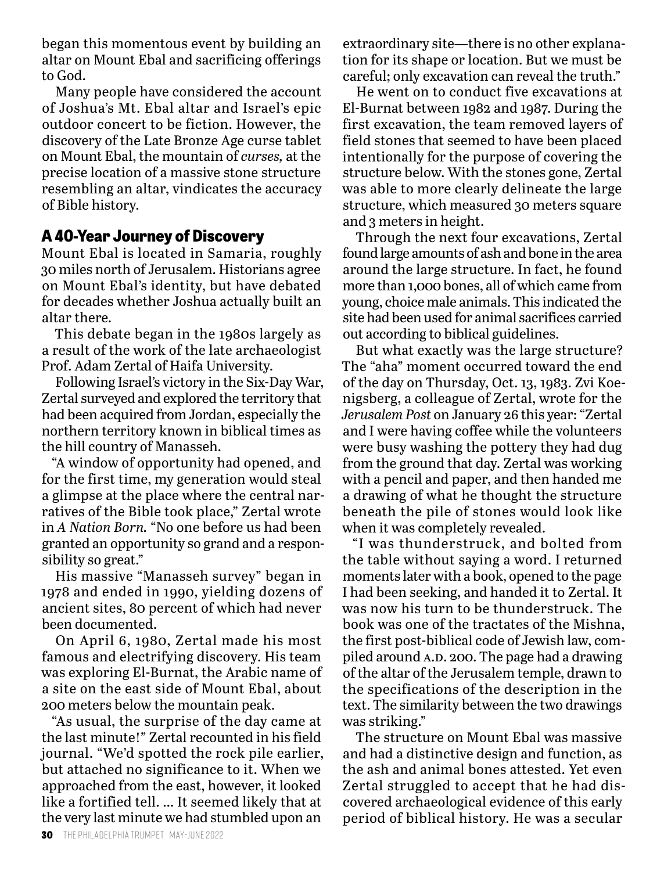began this momentous event by building an altar on Mount Ebal and sacrificing offerings to God.

Many people have considered the account of Joshua's Mt. Ebal altar and Israel's epic outdoor concert to be fiction. However, the discovery of the Late Bronze Age curse tablet on Mount Ebal, the mountain of *curses,* at the precise location of a massive stone structure resembling an altar, vindicates the accuracy of Bible history.

#### **A 40-Year Journey of Discovery**

Mount Ebal is located in Samaria, roughly 30 miles north of Jerusalem. Historians agree on Mount Ebal's identity, but have debated for decades whether Joshua actually built an altar there.

This debate began in the 1980s largely as a result of the work of the late archaeologist Prof. Adam Zertal of Haifa University.

Following Israel's victory in the Six-Day War, Zertal surveyed and explored the territory that had been acquired from Jordan, especially the northern territory known in biblical times as the hill country of Manasseh.

"A window of opportunity had opened, and for the first time, my generation would steal a glimpse at the place where the central narratives of the Bible took place," Zertal wrote in *A Nation Born.* "No one before us had been granted an opportunity so grand and a responsibility so great."

His massive "Manasseh survey" began in 1978 and ended in 1990, yielding dozens of ancient sites, 80 percent of which had never been documented.

On April 6, 1980, Zertal made his most famous and electrifying discovery. His team was exploring El-Burnat, the Arabic name of a site on the east side of Mount Ebal, about 200 meters below the mountain peak.

"As usual, the surprise of the day came at the last minute!" Zertal recounted in his field journal. "We'd spotted the rock pile earlier, but attached no significance to it. When we approached from the east, however, it looked like a fortified tell. … It seemed likely that at the very last minute we had stumbled upon an

extraordinary site—there is no other explanation for its shape or location. But we must be careful; only excavation can reveal the truth."

He went on to conduct five excavations at El-Burnat between 1982 and 1987. During the first excavation, the team removed layers of field stones that seemed to have been placed intentionally for the purpose of covering the structure below. With the stones gone, Zertal was able to more clearly delineate the large structure, which measured 30 meters square and 3 meters in height.

Through the next four excavations, Zertal found large amounts of ash and bone in the area around the large structure. In fact, he found more than 1,000 bones, all of which came from young, choice male animals. This indicated the site had been used for animal sacrifices carried out according to biblical guidelines.

But what exactly was the large structure? The "aha" moment occurred toward the end of the day on Thursday, Oct. 13, 1983. Zvi Koenigsberg, a colleague of Zertal, wrote for the *Jerusalem Post* on January 26 this year: "Zertal and I were having coffee while the volunteers were busy washing the pottery they had dug from the ground that day. Zertal was working with a pencil and paper, and then handed me a drawing of what he thought the structure beneath the pile of stones would look like when it was completely revealed.

"I was thunderstruck, and bolted from the table without saying a word. I returned moments later with a book, opened to the page I had been seeking, and handed it to Zertal. It was now his turn to be thunderstruck. The book was one of the tractates of the Mishna, the first post-biblical code of Jewish law, compiled around A.D. 200. The page had a drawing of the altar of the Jerusalem temple, drawn to the specifications of the description in the text. The similarity between the two drawings was striking."

The structure on Mount Ebal was massive and had a distinctive design and function, as the ash and animal bones attested. Yet even Zertal struggled to accept that he had discovered archaeological evidence of this early period of biblical history. He was a secular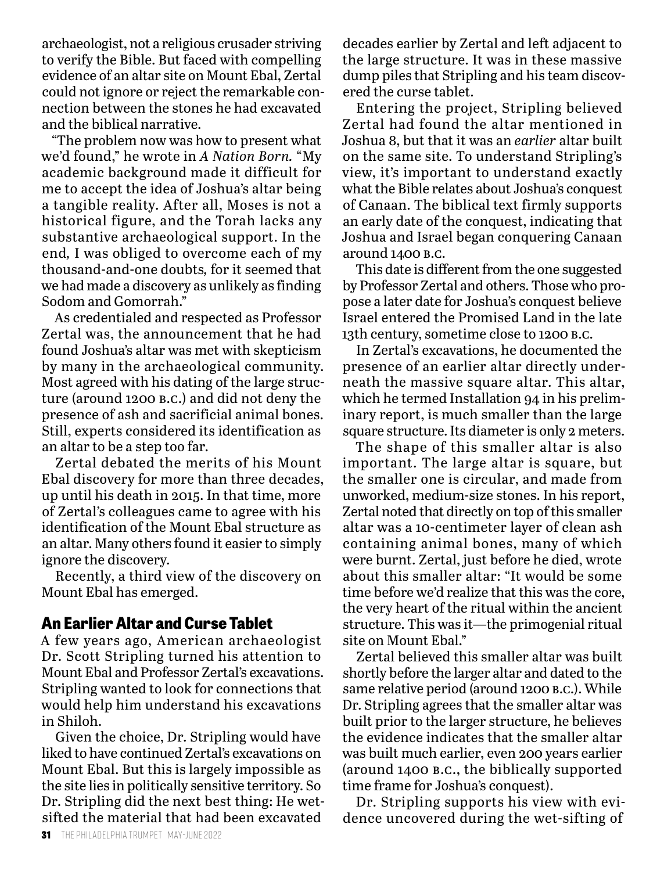archaeologist, not a religious crusader striving to verify the Bible. But faced with compelling evidence of an altar site on Mount Ebal, Zertal could not ignore or reject the remarkable connection between the stones he had excavated and the biblical narrative.

"The problem now was how to present what we'd found," he wrote in *A Nation Born.* "My academic background made it difficult for me to accept the idea of Joshua's altar being a tangible reality. After all, Moses is not a historical figure, and the Torah lacks any substantive archaeological support. In the end*,* I was obliged to overcome each of my thousand-and-one doubts*,* for it seemed that we had made a discovery as unlikely as finding Sodom and Gomorrah."

As credentialed and respected as Professor Zertal was, the announcement that he had found Joshua's altar was met with skepticism by many in the archaeological community. Most agreed with his dating of the large structure (around 1200 b.c.) and did not deny the presence of ash and sacrificial animal bones. Still, experts considered its identification as an altar to be a step too far.

Zertal debated the merits of his Mount Ebal discovery for more than three decades, up until his death in 2015. In that time, more of Zertal's colleagues came to agree with his identification of the Mount Ebal structure as an altar. Many others found it easier to simply ignore the discovery.

Recently, a third view of the discovery on Mount Ebal has emerged.

#### **An Earlier Altar and Curse Tablet**

A few years ago, American archaeologist Dr. Scott Stripling turned his attention to Mount Ebal and Professor Zertal's excavations. Stripling wanted to look for connections that would help him understand his excavations in Shiloh.

Given the choice, Dr. Stripling would have liked to have continued Zertal's excavations on Mount Ebal. But this is largely impossible as the site lies in politically sensitive territory. So Dr. Stripling did the next best thing: He wetsifted the material that had been excavated

decades earlier by Zertal and left adjacent to the large structure. It was in these massive dump piles that Stripling and his team discovered the curse tablet.

Entering the project, Stripling believed Zertal had found the altar mentioned in Joshua 8, but that it was an *earlier* altar built on the same site. To understand Stripling's view, it's important to understand exactly what the Bible relates about Joshua's conquest of Canaan. The biblical text firmly supports an early date of the conquest, indicating that Joshua and Israel began conquering Canaan around 1400 b.c.

This date is different from the one suggested by Professor Zertal and others. Those who propose a later date for Joshua's conquest believe Israel entered the Promised Land in the late 13th century, sometime close to 1200 b.c.

In Zertal's excavations, he documented the presence of an earlier altar directly underneath the massive square altar. This altar, which he termed Installation 94 in his preliminary report, is much smaller than the large square structure. Its diameter is only 2 meters.

The shape of this smaller altar is also important. The large altar is square, but the smaller one is circular, and made from unworked, medium-size stones. In his report, Zertal noted that directly on top of this smaller altar was a 10-centimeter layer of clean ash containing animal bones, many of which were burnt. Zertal, just before he died, wrote about this smaller altar: "It would be some time before we'd realize that this was the core, the very heart of the ritual within the ancient structure. This was it—the primogenial ritual site on Mount Ebal."

Zertal believed this smaller altar was built shortly before the larger altar and dated to the same relative period (around 1200 b.c.). While Dr. Stripling agrees that the smaller altar was built prior to the larger structure, he believes the evidence indicates that the smaller altar was built much earlier, even 200 years earlier (around 1400 b.c., the biblically supported time frame for Joshua's conquest).

Dr. Stripling supports his view with evidence uncovered during the wet-sifting of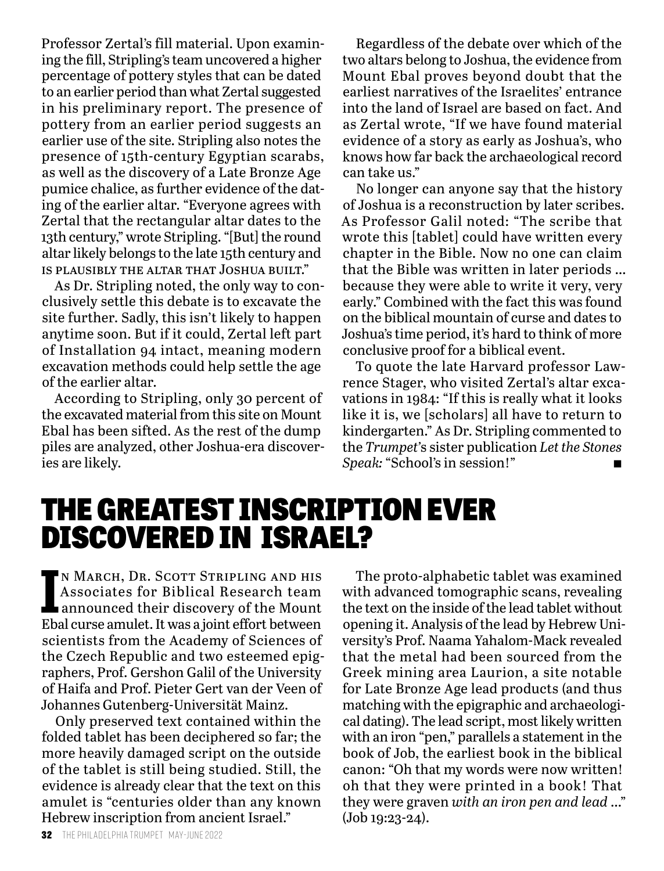Professor Zertal's fill material. Upon examining the fill, Stripling's team uncovered a higher percentage of pottery styles that can be dated to an earlier period than what Zertal suggested in his preliminary report. The presence of pottery from an earlier period suggests an earlier use of the site. Stripling also notes the presence of 15th-century Egyptian scarabs, as well as the discovery of a Late Bronze Age pumice chalice, as further evidence of the dating of the earlier altar. "Everyone agrees with Zertal that the rectangular altar dates to the 13th century," wrote Stripling. "[But] the round altar likely belongs to the late 15th century and is plausibly the altar that Joshua built."

As Dr. Stripling noted, the only way to conclusively settle this debate is to excavate the site further. Sadly, this isn't likely to happen anytime soon. But if it could, Zertal left part of Installation 94 intact, meaning modern excavation methods could help settle the age of the earlier altar.

According to Stripling, only 30 percent of the excavated material from this site on Mount Ebal has been sifted. As the rest of the dump piles are analyzed, other Joshua-era discoveries are likely.

Regardless of the debate over which of the two altars belong to Joshua, the evidence from Mount Ebal proves beyond doubt that the earliest narratives of the Israelites' entrance into the land of Israel are based on fact. And as Zertal wrote, "If we have found material evidence of a story as early as Joshua's, who knows how far back the archaeological record can take us."

No longer can anyone say that the history of Joshua is a reconstruction by later scribes. As Professor Galil noted: "The scribe that wrote this [tablet] could have written every chapter in the Bible. Now no one can claim that the Bible was written in later periods … because they were able to write it very, very early." Combined with the fact this was found on the biblical mountain of curse and dates to Joshua's time period, it's hard to think of more conclusive proof for a biblical event.

To quote the late Harvard professor Lawrence Stager, who visited Zertal's altar excavations in 1984: "If this is really what it looks like it is, we [scholars] all have to return to kindergarten." As Dr. Stripling commented to the *Trumpet'*s sister publication *Let the Stones Speak:* "School's in session!"

### THE GREATEST INSCRIPTION EVER DISCOVERED IN ISRAEL?

IN MARCH, DR. SCOTT STRIPLING AND HIS<br>Associates for Biblical Research team<br>announced their discovery of the Mount<br>Ebal curse amulet. It was a joint effort between n March, Dr. Scott Stripling and his Associates for Biblical Research team announced their discovery of the Mount scientists from the Academy of Sciences of the Czech Republic and two esteemed epigraphers, Prof. Gershon Galil of the University of Haifa and Prof. Pieter Gert van der Veen of Johannes Gutenberg-Universität Mainz.

Only preserved text contained within the folded tablet has been deciphered so far; the more heavily damaged script on the outside of the tablet is still being studied. Still, the evidence is already clear that the text on this amulet is "centuries older than any known Hebrew inscription from ancient Israel."

The proto-alphabetic tablet was examined with advanced tomographic scans, revealing the text on the inside of the lead tablet without opening it. Analysis of the lead by Hebrew University's Prof. Naama Yahalom-Mack revealed that the metal had been sourced from the Greek mining area Laurion, a site notable for Late Bronze Age lead products (and thus matching with the epigraphic and archaeological dating). The lead script, most likely written with an iron "pen," parallels a statement in the book of Job, the earliest book in the biblical canon: "Oh that my words were now written! oh that they were printed in a book! That they were graven *with an iron pen and lead* …" (Job 19:23-24).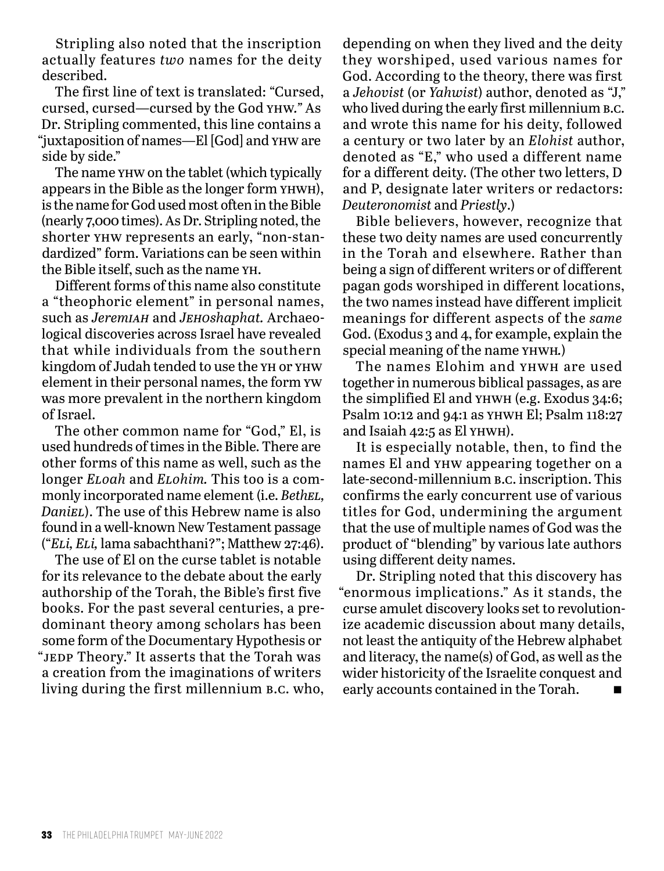Stripling also noted that the inscription actually features *two* names for the deity described.

The first line of text is translated: "Cursed, cursed, cursed—cursed by the God yhw*."* As Dr. Stripling commented, this line contains a "juxtaposition of names—El [God] and yhw are side by side."

The name yhw on the tablet (which typically appears in the Bible as the longer form yhwh), is the name for God used most often in the Bible (nearly 7,000 times). As Dr. Stripling noted, the shorter yhw represents an early, "non-standardized" form. Variations can be seen within the Bible itself, such as the name yh.

Different forms of this name also constitute a "theophoric element" in personal names, such as *Jeremiah* and *Jehoshaphat.* Archaeological discoveries across Israel have revealed that while individuals from the southern kingdom of Judah tended to use the yh or yhw element in their personal names, the form yw was more prevalent in the northern kingdom of Israel.

The other common name for "God," El, is used hundreds of times in the Bible. There are other forms of this name as well, such as the longer *Eloah* and *Elohim.* This too is a commonly incorporated name element (i.e. *Bethel, Daniel*). The use of this Hebrew name is also found in a well-known New Testament passage ("*Eli, Eli,* lama sabachthani?"; Matthew 27:46).

The use of El on the curse tablet is notable for its relevance to the debate about the early authorship of the Torah, the Bible's first five books. For the past several centuries, a predominant theory among scholars has been some form of the Documentary Hypothesis or "jedp Theory." It asserts that the Torah was a creation from the imaginations of writers living during the first millennium b.c. who,

depending on when they lived and the deity they worshiped, used various names for God. According to the theory, there was first a *Jehovist* (or *Yahwist*) author, denoted as "J," who lived during the early first millennium **B.C.** and wrote this name for his deity, followed a century or two later by an *Elohist* author, denoted as "E," who used a different name for a different deity. (The other two letters, D and P, designate later writers or redactors: *Deuteronomist* and *Priestly*.)

Bible believers, however, recognize that these two deity names are used concurrently in the Torah and elsewhere. Rather than being a sign of different writers or of different pagan gods worshiped in different locations, the two names instead have different implicit meanings for different aspects of the *same*  God. (Exodus 3 and 4, for example, explain the special meaning of the name yhwh*.*)

The names Elohim and yhwh are used together in numerous biblical passages, as are the simplified El and yhwh (e.g. Exodus 34:6; Psalm 10:12 and 94:1 as yhwh El; Psalm 118:27 and Isaiah 42:5 as El yhwh).

It is especially notable, then, to find the names El and yhw appearing together on a late-second*-*millennium b.c. inscription. This confirms the early concurrent use of various titles for God, undermining the argument that the use of multiple names of God was the product of "blending" by various late authors using different deity names.

Dr. Stripling noted that this discovery has "enormous implications." As it stands, the curse amulet discovery looks set to revolutionize academic discussion about many details, not least the antiquity of the Hebrew alphabet and literacy, the name(s) of God, as well as the wider historicity of the Israelite conquest and early accounts contained in the Torah.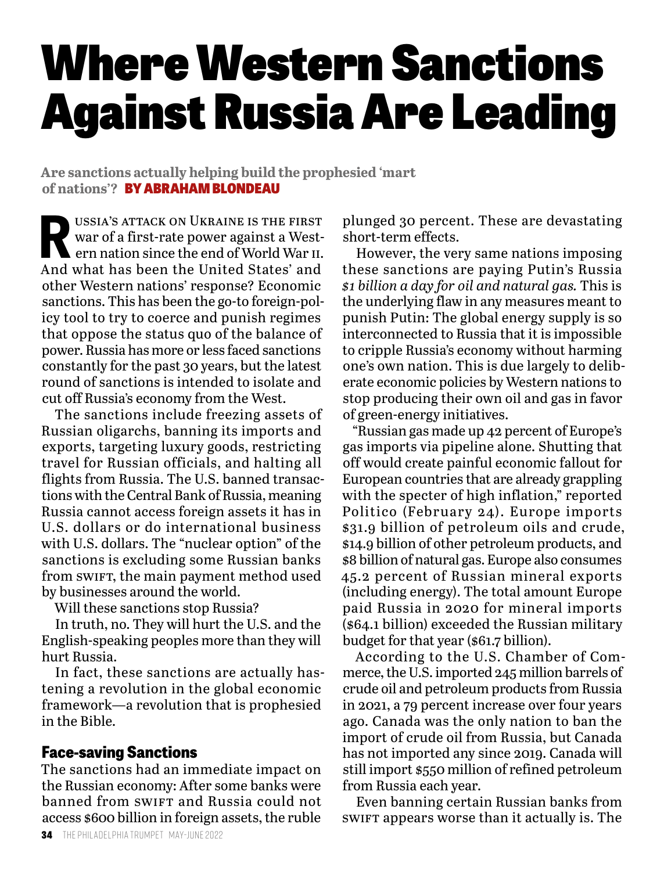# Where Western Sanctions Against Russia Are Leading

**Are sanctions actually helping build the prophesied 'mart of nations'?** BY ABRAHAM BLONDEAU

USSIA'S ATTACK ON UKRAINE IS THE FIRST<br>war of a first-rate power against a West-<br>ern nation since the end of World War II.<br>And what has been the United States' and war of a first-rate power against a Western nation since the end of World War ii. And what has been the United States' and other Western nations' response? Economic sanctions. This has been the go-to foreign-policy tool to try to coerce and punish regimes that oppose the status quo of the balance of power. Russia has more or less faced sanctions constantly for the past 30 years, but the latest round of sanctions is intended to isolate and cut off Russia's economy from the West.

The sanctions include freezing assets of Russian oligarchs, banning its imports and exports, targeting luxury goods, restricting travel for Russian officials, and halting all flights from Russia. The U.S. banned transactions with the Central Bank of Russia, meaning Russia cannot access foreign assets it has in U.S. dollars or do international business with U.S. dollars. The "nuclear option" of the sanctions is excluding some Russian banks from swift, the main payment method used by businesses around the world.

Will these sanctions stop Russia?

In truth, no. They will hurt the U.S. and the English-speaking peoples more than they will hurt Russia.

In fact, these sanctions are actually hastening a revolution in the global economic framework—a revolution that is prophesied in the Bible.

#### **Face-saving Sanctions**

The sanctions had an immediate impact on the Russian economy: After some banks were banned from swiFt and Russia could not access \$600 billion in foreign assets, the ruble

plunged 30 percent. These are devastating short-term effects.

However, the very same nations imposing these sanctions are paying Putin's Russia *\$1 billion a day for oil and natural gas.* This is the underlying flaw in any measures meant to punish Putin: The global energy supply is so interconnected to Russia that it is impossible to cripple Russia's economy without harming one's own nation. This is due largely to deliberate economic policies by Western nations to stop producing their own oil and gas in favor of green-energy initiatives.

"Russian gas made up 42 percent of Europe's gas imports via pipeline alone. Shutting that off would create painful economic fallout for European countries that are already grappling with the specter of high inflation," reported Politico (February 24). Europe imports \$31.9 billion of petroleum oils and crude, \$14.9 billion of other petroleum products, and \$8 billion of natural gas. Europe also consumes 45.2 percent of Russian mineral exports (including energy). The total amount Europe paid Russia in 2020 for mineral imports (\$64.1 billion) exceeded the Russian military budget for that year (\$61.7 billion).

According to the U.S. Chamber of Commerce, the U.S. imported 245 million barrels of crude oil and petroleum products from Russia in 2021, a 79 percent increase over four years ago. Canada was the only nation to ban the import of crude oil from Russia, but Canada has not imported any since 2019. Canada will still import \$550 million of refined petroleum from Russia each year.

Even banning certain Russian banks from swift appears worse than it actually is. The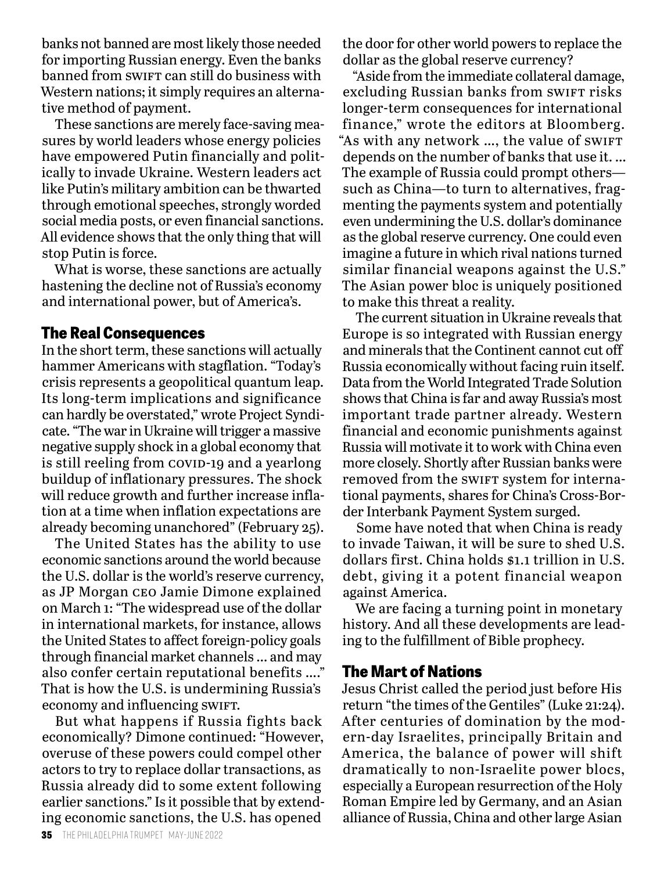banks not banned are most likely those needed for importing Russian energy. Even the banks banned from swirt can still do business with Western nations; it simply requires an alternative method of payment.

These sanctions are merely face-saving measures by world leaders whose energy policies have empowered Putin financially and politically to invade Ukraine. Western leaders act like Putin's military ambition can be thwarted through emotional speeches, strongly worded social media posts, or even financial sanctions. All evidence shows that the only thing that will stop Putin is force.

What is worse, these sanctions are actually hastening the decline not of Russia's economy and international power, but of America's.

#### **The Real Consequences**

In the short term, these sanctions will actually hammer Americans with stagflation. "Today's crisis represents a geopolitical quantum leap. Its long-term implications and significance can hardly be overstated," wrote Project Syndicate. "The war in Ukraine will trigger a massive negative supply shock in a global economy that is still reeling from COVID-19 and a yearlong buildup of inflationary pressures. The shock will reduce growth and further increase inflation at a time when inflation expectations are already becoming unanchored" (February 25).

The United States has the ability to use economic sanctions around the world because the U.S. dollar is the world's reserve currency, as JP Morgan ceo Jamie Dimone explained on March 1: "The widespread use of the dollar in international markets, for instance, allows the United States to affect foreign-policy goals through financial market channels … and may also confer certain reputational benefits …." That is how the U.S. is undermining Russia's economy and influencing SWIFT.

But what happens if Russia fights back economically? Dimone continued: "However, overuse of these powers could compel other actors to try to replace dollar transactions, as Russia already did to some extent following earlier sanctions." Is it possible that by extending economic sanctions, the U.S. has opened

the door for other world powers to replace the dollar as the global reserve currency?

"Aside from the immediate collateral damage, excluding Russian banks from SWIFT risks longer-term consequences for international finance," wrote the editors at Bloomberg. "As with any network ..., the value of swift depends on the number of banks that use it. … The example of Russia could prompt others such as China—to turn to alternatives, fragmenting the payments system and potentially even undermining the U.S. dollar's dominance as the global reserve currency. One could even imagine a future in which rival nations turned similar financial weapons against the U.S." The Asian power bloc is uniquely positioned to make this threat a reality.

The current situation in Ukraine reveals that Europe is so integrated with Russian energy and minerals that the Continent cannot cut off Russia economically without facing ruin itself. Data from the World Integrated Trade Solution shows that China is far and away Russia's most important trade partner already. Western financial and economic punishments against Russia will motivate it to work with China even more closely. Shortly after Russian banks were removed from the swift system for international payments, shares for China's Cross-Border Interbank Payment System surged.

Some have noted that when China is ready to invade Taiwan, it will be sure to shed U.S. dollars first. China holds \$1.1 trillion in U.S. debt, giving it a potent financial weapon against America.

We are facing a turning point in monetary history. And all these developments are leading to the fulfillment of Bible prophecy.

#### **The Mart of Nations**

Jesus Christ called the period just before His return "the times of the Gentiles" (Luke 21:24). After centuries of domination by the modern-day Israelites, principally Britain and America, the balance of power will shift dramatically to non-Israelite power blocs, especially a European resurrection of the Holy Roman Empire led by Germany, and an Asian alliance of Russia, China and other large Asian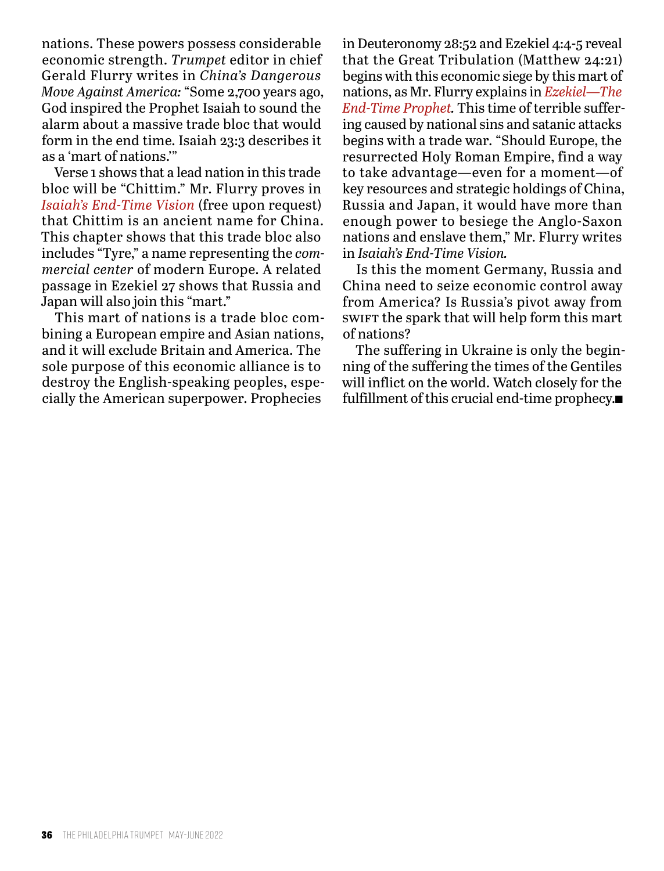nations. These powers possess considerable economic strength. *Trumpet* editor in chief Gerald Flurry writes in *China's Dangerous Move Against America:* "Some 2,700 years ago, God inspired the Prophet Isaiah to sound the alarm about a massive trade bloc that would form in the end time. Isaiah 23:3 describes it as a 'mart of nations.'"

Verse 1 shows that a lead nation in this trade bloc will be "Chittim." Mr. Flurry proves in *Isaiah's End-Time Vision* (free upon request) that Chittim is an ancient name for China. This chapter shows that this trade bloc also includes "Tyre," a name representing the *commercial center* of modern Europe. A related passage in Ezekiel 27 shows that Russia and Japan will also join this "mart."

This mart of nations is a trade bloc combining a European empire and Asian nations, and it will exclude Britain and America. The sole purpose of this economic alliance is to destroy the English-speaking peoples, especially the American superpower. Prophecies

in Deuteronomy 28:52 and Ezekiel 4:4-5 reveal that the Great Tribulation (Matthew 24:21) begins with this economic siege by this mart of nations, as Mr. Flurry explains in *Ezekiel—The End-Time Prophet.* This time of terrible suffering caused by national sins and satanic attacks begins with a trade war. "Should Europe, the resurrected Holy Roman Empire, find a way to take advantage—even for a moment—of key resources and strategic holdings of China, Russia and Japan, it would have more than enough power to besiege the Anglo-Saxon nations and enslave them," Mr. Flurry writes in *Isaiah's End-Time Vision.*

Is this the moment Germany, Russia and China need to seize economic control away from America? Is Russia's pivot away from swift the spark that will help form this mart of nations?

The suffering in Ukraine is only the beginning of the suffering the times of the Gentiles will inflict on the world. Watch closely for the fulfillment of this crucial end-time prophecy. $\blacksquare$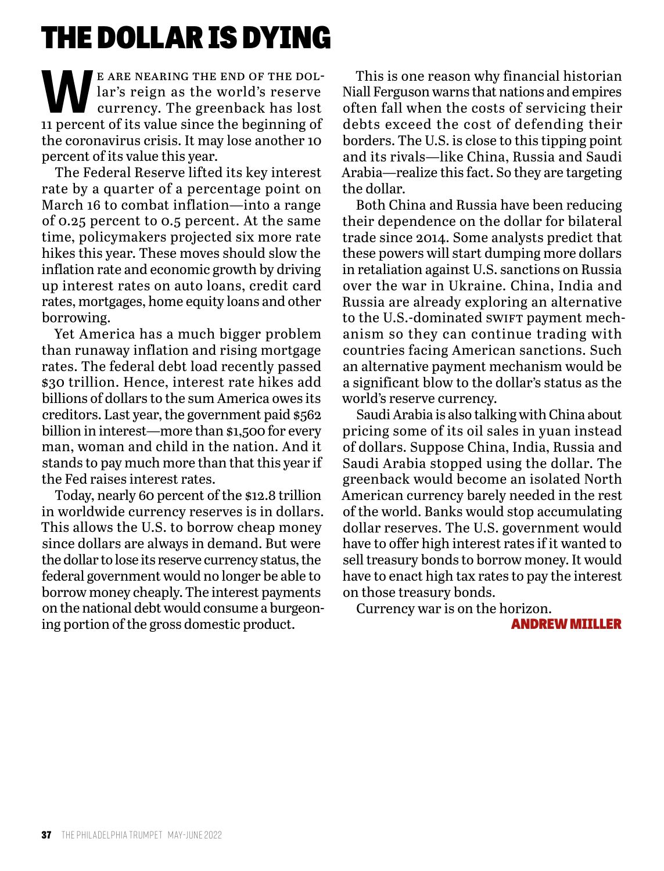### THE DOLLAR IS DYING

E ARE NEARING THE END OF THE DOL-<br>lar's reign as the world's reserve<br>currency. The greenback has lost lar's reign as the world's reserve 11 percent of its value since the beginning of the coronavirus crisis. It may lose another 10 percent of its value this year.

The Federal Reserve lifted its key interest rate by a quarter of a percentage point on March 16 to combat inflation—into a range of 0.25 percent to 0.5 percent. At the same time, policymakers projected six more rate hikes this year. These moves should slow the inflation rate and economic growth by driving up interest rates on auto loans, credit card rates, mortgages, home equity loans and other borrowing.

Yet America has a much bigger problem than runaway inflation and rising mortgage rates. The federal debt load recently passed \$30 trillion. Hence, interest rate hikes add billions of dollars to the sum America owes its creditors. Last year, the government paid \$562 billion in interest—more than \$1,500 for every man, woman and child in the nation. And it stands to pay much more than that this year if the Fed raises interest rates.

Today, nearly 60 percent of the \$12.8 trillion in worldwide currency reserves is in dollars. This allows the U.S. to borrow cheap money since dollars are always in demand. But were the dollar to lose its reserve currency status, the federal government would no longer be able to borrow money cheaply. The interest payments on the national debt would consume a burgeoning portion of the gross domestic product.

This is one reason why financial historian Niall Ferguson warns that nations and empires often fall when the costs of servicing their debts exceed the cost of defending their borders. The U.S. is close to this tipping point and its rivals—like China, Russia and Saudi Arabia—realize this fact. So they are targeting the dollar.

Both China and Russia have been reducing their dependence on the dollar for bilateral trade since 2014. Some analysts predict that these powers will start dumping more dollars in retaliation against U.S. sanctions on Russia over the war in Ukraine. China, India and Russia are already exploring an alternative to the U.S.-dominated swift payment mechanism so they can continue trading with countries facing American sanctions. Such an alternative payment mechanism would be a significant blow to the dollar's status as the world's reserve currency.

Saudi Arabia is also talking with China about pricing some of its oil sales in yuan instead of dollars. Suppose China, India, Russia and Saudi Arabia stopped using the dollar. The greenback would become an isolated North American currency barely needed in the rest of the world. Banks would stop accumulating dollar reserves. The U.S. government would have to offer high interest rates if it wanted to sell treasury bonds to borrow money. It would have to enact high tax rates to pay the interest on those treasury bonds.

Currency war is on the horizon.

ANDREW MIILLER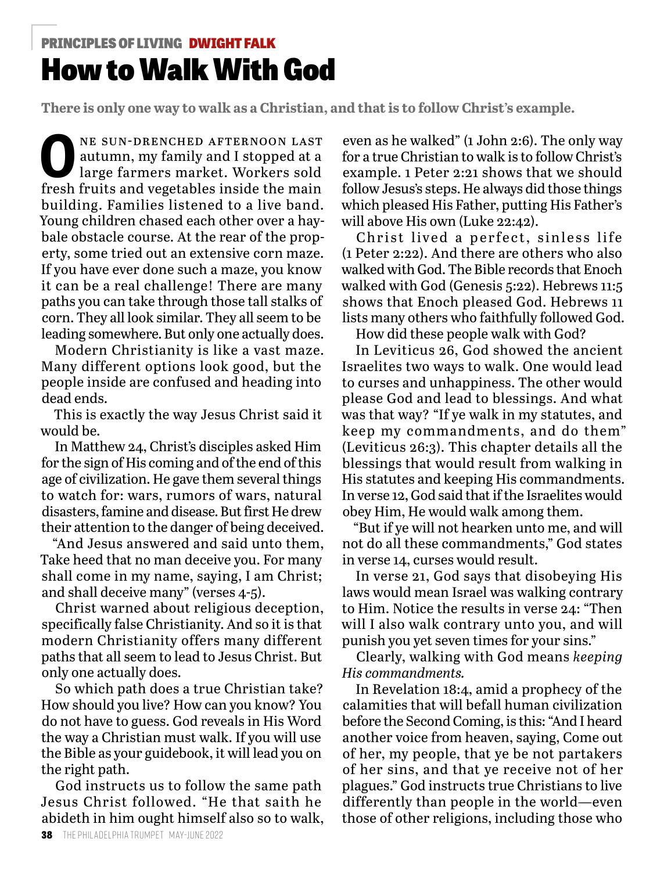### How to Walk With God PRINCIPLES OF LIVING DWIGHT FALK

**There is only one way to walk as a Christian, and that is to follow Christ's example.**

NE SUN-DRENCHED AFTERNOON LAST<br>autumn, my family and I stopped at a<br>large farmers market. Workers sold<br>frosh fruits and vesstables inside the main autumn, my family and I stopped at a large farmers market. Workers sold fresh fruits and vegetables inside the main building. Families listened to a live band. Young children chased each other over a haybale obstacle course. At the rear of the property, some tried out an extensive corn maze. If you have ever done such a maze, you know it can be a real challenge! There are many paths you can take through those tall stalks of corn. They all look similar. They all seem to be leading somewhere. But only one actually does.

Modern Christianity is like a vast maze. Many different options look good, but the people inside are confused and heading into dead ends.

This is exactly the way Jesus Christ said it would be.

In Matthew 24, Christ's disciples asked Him for the sign of His coming and of the end of this age of civilization. He gave them several things to watch for: wars, rumors of wars, natural disasters, famine and disease. But first He drew their attention to the danger of being deceived.

"And Jesus answered and said unto them, Take heed that no man deceive you. For many shall come in my name, saying, I am Christ; and shall deceive many" (verses 4-5).

Christ warned about religious deception, specifically false Christianity. And so it is that modern Christianity offers many different paths that all seem to lead to Jesus Christ. But only one actually does.

So which path does a true Christian take? How should you live? How can you know? You do not have to guess. God reveals in His Word the way a Christian must walk. If you will use the Bible as your guidebook, it will lead you on the right path.

God instructs us to follow the same path Jesus Christ followed. "He that saith he abideth in him ought himself also so to walk,

even as he walked" (1 John 2:6). The only way for a true Christian to walk is to follow Christ's example. 1 Peter 2:21 shows that we should follow Jesus's steps. He always did those things which pleased His Father, putting His Father's will above His own (Luke 22:42).

Christ lived a perfect, sinless life (1 Peter 2:22). And there are others who also walked with God. The Bible records that Enoch walked with God (Genesis 5:22). Hebrews 11:5 shows that Enoch pleased God. Hebrews 11 lists many others who faithfully followed God.

How did these people walk with God?

In Leviticus 26, God showed the ancient Israelites two ways to walk. One would lead to curses and unhappiness. The other would please God and lead to blessings. And what was that way? "If ye walk in my statutes, and keep my commandments, and do them" (Leviticus 26:3). This chapter details all the blessings that would result from walking in His statutes and keeping His commandments. In verse 12, God said that if the Israelites would obey Him, He would walk among them.

"But if ye will not hearken unto me, and will not do all these commandments," God states in verse 14, curses would result.

In verse 21, God says that disobeying His laws would mean Israel was walking contrary to Him. Notice the results in verse 24: "Then will I also walk contrary unto you, and will punish you yet seven times for your sins."

Clearly, walking with God means *keeping His commandments.*

In Revelation 18:4, amid a prophecy of the calamities that will befall human civilization before the Second Coming, is this: "And I heard another voice from heaven, saying, Come out of her, my people, that ye be not partakers of her sins, and that ye receive not of her plagues." God instructs true Christians to live differently than people in the world—even those of other religions, including those who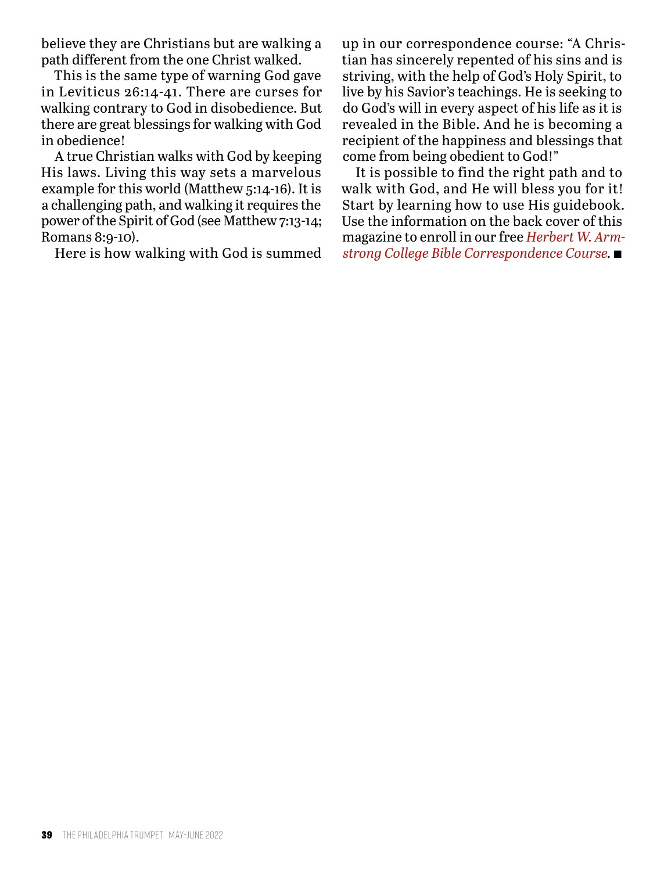believe they are Christians but are walking a path different from the one Christ walked.

This is the same type of warning God gave in Leviticus 26:14-41. There are curses for walking contrary to God in disobedience. But there are great blessings for walking with God in obedience!

A true Christian walks with God by keeping His laws. Living this way sets a marvelous example for this world (Matthew 5:14-16). It is a challenging path, and walking it requires the power of the Spirit of God (see Matthew 7:13-14; Romans 8:9-10).

Here is how walking with God is summed

up in our correspondence course: "A Christian has sincerely repented of his sins and is striving, with the help of God's Holy Spirit, to live by his Savior's teachings. He is seeking to do God's will in every aspect of his life as it is revealed in the Bible. And he is becoming a recipient of the happiness and blessings that come from being obedient to God!"

It is possible to find the right path and to walk with God, and He will bless you for it! Start by learning how to use His guidebook. Use the information on the back cover of this magazine to enroll in our free *Herbert W. Armstrong College Bible Correspondence Course.* n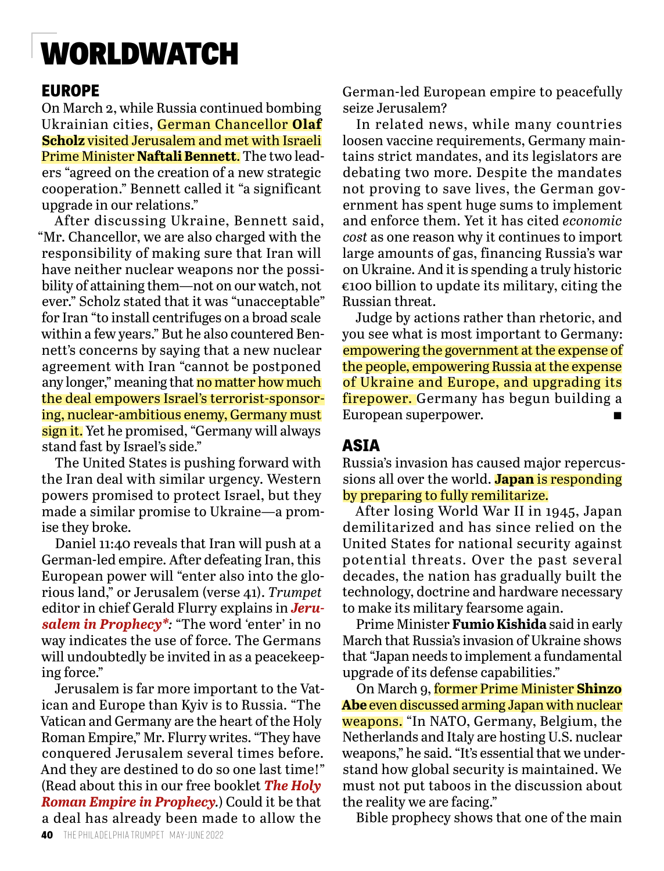### WORLDWATCH

#### **EUROPE**

On March 2, while Russia continued bombing Ukrainian cities, German Chancellor **Olaf Scholz** visited Jerusalem and met with Israeli Prime Minister **Naftali Bennett**. The two leaders "agreed on the creation of a new strategic cooperation." Bennett called it "a significant upgrade in our relations."

After discussing Ukraine, Bennett said, "Mr. Chancellor, we are also charged with the responsibility of making sure that Iran will have neither nuclear weapons nor the possibility of attaining them—not on our watch, not ever." Scholz stated that it was "unacceptable" for Iran "to install centrifuges on a broad scale within a few years." But he also countered Bennett's concerns by saying that a new nuclear agreement with Iran "cannot be postponed any longer," meaning that no matter how much the deal empowers Israel's terrorist-sponsoring, nuclear-ambitious enemy, Germany must sign it. Yet he promised, "Germany will always stand fast by Israel's side."

The United States is pushing forward with the Iran deal with similar urgency. Western powers promised to protect Israel, but they made a similar promise to Ukraine—a promise they broke.

Daniel 11:40 reveals that Iran will push at a German-led empire. After defeating Iran, this European power will "enter also into the glorious land," or Jerusalem (verse 41). *Trumpet* editor in chief Gerald Flurry explains in *Jerusalem in Prophecy\*:* "The word 'enter' in no way indicates the use of force. The Germans will undoubtedly be invited in as a peacekeeping force."

Jerusalem is far more important to the Vatican and Europe than Kyiv is to Russia. "The Vatican and Germany are the heart of the Holy Roman Empire," Mr. Flurry writes. "They have conquered Jerusalem several times before. And they are destined to do so one last time!" (Read about this in our free booklet *The Holy Roman Empire in Prophecy.*) Could it be that a deal has already been made to allow the

German-led European empire to peacefully seize Jerusalem?

In related news, while many countries loosen vaccine requirements, Germany maintains strict mandates, and its legislators are debating two more. Despite the mandates not proving to save lives, the German government has spent huge sums to implement and enforce them. Yet it has cited *economic cost* as one reason why it continues to import large amounts of gas, financing Russia's war on Ukraine. And it is spending a truly historic  $\epsilon$ 100 billion to update its military, citing the Russian threat.

Judge by actions rather than rhetoric, and you see what is most important to Germany: empowering the government at the expense of the people, empowering Russia at the expense of Ukraine and Europe, and upgrading its firepower. Germany has begun building a European superpower.  $\blacksquare$ 

#### **ASIA**

Russia's invasion has caused major repercussions all over the world. **Japan** is responding by preparing to fully remilitarize.

After losing World War II in 1945, Japan demilitarized and has since relied on the United States for national security against potential threats. Over the past several decades, the nation has gradually built the technology, doctrine and hardware necessary to make its military fearsome again.

Prime Minister **Fumio Kishida** said in early March that Russia's invasion of Ukraine shows that "Japan needs to implement a fundamental upgrade of its defense capabilities."

On March 9, former Prime Minister **Shinzo Abe** even discussed arming Japan with nuclear weapons. "In NATO, Germany, Belgium, the Netherlands and Italy are hosting U.S. nuclear weapons," he said. "It's essential that we understand how global security is maintained. We must not put taboos in the discussion about the reality we are facing."

Bible prophecy shows that one of the main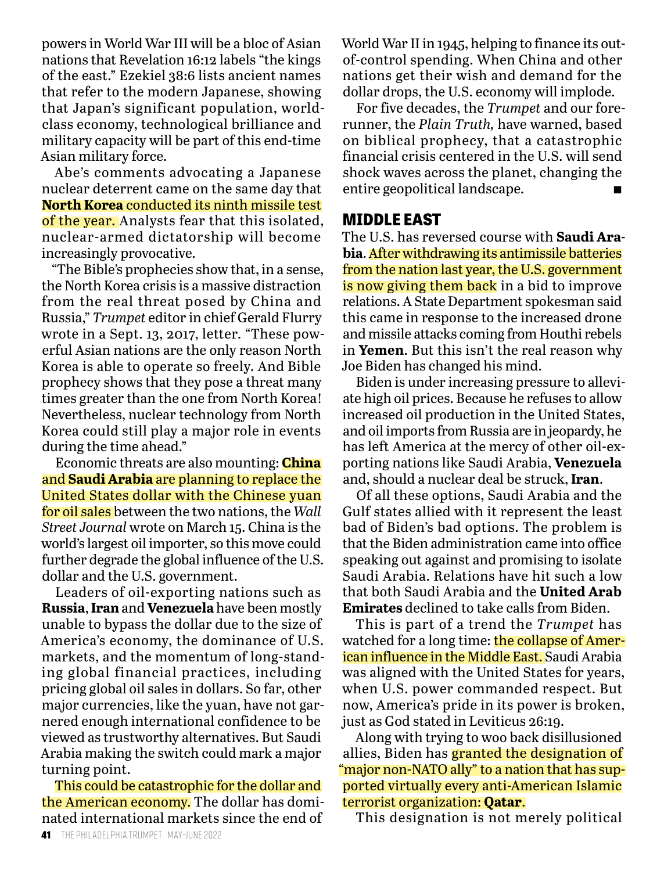powers in World War III will be a bloc of Asian nations that Revelation 16:12 labels "the kings of the east." Ezekiel 38:6 lists ancient names that refer to the modern Japanese, showing that Japan's significant population, worldclass economy, technological brilliance and military capacity will be part of this end-time Asian military force.

Abe's comments advocating a Japanese nuclear deterrent came on the same day that **North Korea** conducted its ninth missile test of the year. Analysts fear that this isolated, nuclear-armed dictatorship will become increasingly provocative.

"The Bible's prophecies show that, in a sense, the North Korea crisis is a massive distraction from the real threat posed by China and Russia," *Trumpet* editor in chief Gerald Flurry wrote in a Sept. 13, 2017, letter. "These powerful Asian nations are the only reason North Korea is able to operate so freely. And Bible prophecy shows that they pose a threat many times greater than the one from North Korea! Nevertheless, nuclear technology from North Korea could still play a major role in events during the time ahead."

Economic threats are also mounting: **China** and **Saudi Arabia** are planning to replace the United States dollar with the Chinese yuan for oil sales between the two nations, the *Wall Street Journal* wrote on March 15. China is the world's largest oil importer, so this move could further degrade the global influence of the U.S. dollar and the U.S. government.

Leaders of oil-exporting nations such as **Russia**, **Iran** and **Venezuela** have been mostly unable to bypass the dollar due to the size of America's economy, the dominance of U.S. markets, and the momentum of long-standing global financial practices, including pricing global oil sales in dollars. So far, other major currencies, like the yuan, have not garnered enough international confidence to be viewed as trustworthy alternatives. But Saudi Arabia making the switch could mark a major turning point.

This could be catastrophic for the dollar and the American economy. The dollar has dominated international markets since the end of

World War II in 1945, helping to finance its outof-control spending. When China and other nations get their wish and demand for the dollar drops, the U.S. economy will implode.

For five decades, the *Trumpet* and our forerunner, the *Plain Truth,* have warned, based on biblical prophecy, that a catastrophic financial crisis centered in the U.S. will send shock waves across the planet, changing the entire geopolitical landscape.

#### **MIDDLE EAST**

The U.S. has reversed course with **Saudi Arabia**. After withdrawing its antimissile batteries from the nation last year, the U.S. government is now giving them back in a bid to improve relations. A State Department spokesman said this came in response to the increased drone and missile attacks coming from Houthi rebels in **Yemen**. But this isn't the real reason why Joe Biden has changed his mind.

Biden is under increasing pressure to alleviate high oil prices. Because he refuses to allow increased oil production in the United States, and oil imports from Russia are in jeopardy, he has left America at the mercy of other oil-exporting nations like Saudi Arabia, **Venezuela**  and, should a nuclear deal be struck, **Iran**.

Of all these options, Saudi Arabia and the Gulf states allied with it represent the least bad of Biden's bad options. The problem is that the Biden administration came into office speaking out against and promising to isolate Saudi Arabia. Relations have hit such a low that both Saudi Arabia and the **United Arab Emirates** declined to take calls from Biden.

This is part of a trend the *Trumpet* has watched for a long time: the collapse of American influence in the Middle East. Saudi Arabia was aligned with the United States for years, when U.S. power commanded respect. But now, America's pride in its power is broken, just as God stated in Leviticus 26:19.

Along with trying to woo back disillusioned allies, Biden has **granted the designation of** "major non-NATO ally" to a nation that has supported virtually every anti-American Islamic terrorist organization: **Qatar**.

This designation is not merely political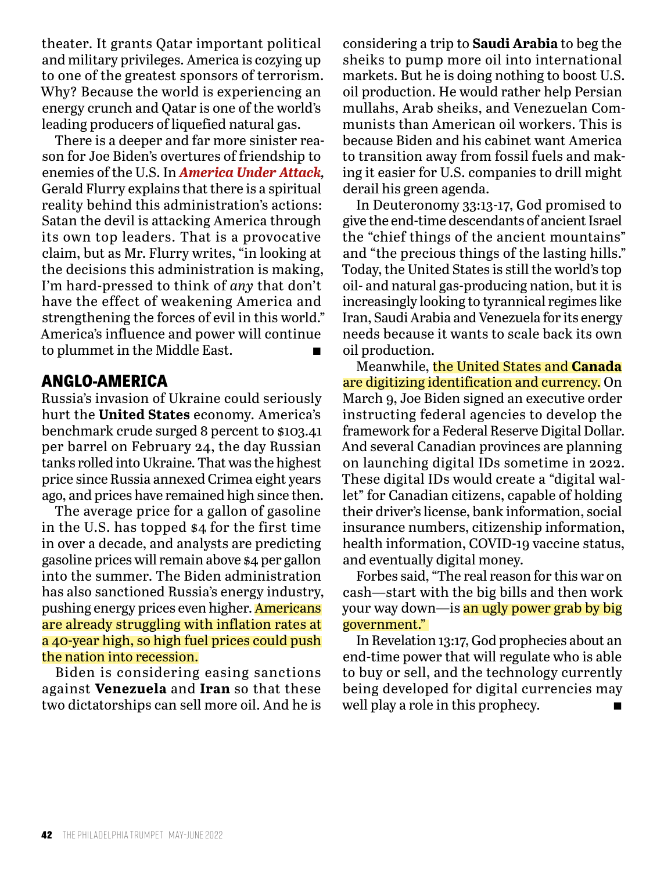theater. It grants Qatar important political and military privileges. America is cozying up to one of the greatest sponsors of terrorism. Why? Because the world is experiencing an energy crunch and Qatar is one of the world's leading producers of liquefied natural gas.

There is a deeper and far more sinister reason for Joe Biden's overtures of friendship to enemies of the U.S. In *America Under Attack,* Gerald Flurry explains that there is a spiritual reality behind this administration's actions: Satan the devil is attacking America through its own top leaders. That is a provocative claim, but as Mr. Flurry writes, "in looking at the decisions this administration is making, I'm hard-pressed to think of *any* that don't have the effect of weakening America and strengthening the forces of evil in this world." America's influence and power will continue to plummet in the Middle East.  $\blacksquare$ 

#### **ANGLO-AMERICA**

Russia's invasion of Ukraine could seriously hurt the **United States** economy. America's benchmark crude surged 8 percent to \$103.41 per barrel on February 24, the day Russian tanks rolled into Ukraine. That was the highest price since Russia annexed Crimea eight years ago, and prices have remained high since then.

The average price for a gallon of gasoline in the U.S. has topped \$4 for the first time in over a decade, and analysts are predicting gasoline prices will remain above \$4 per gallon into the summer. The Biden administration has also sanctioned Russia's energy industry, pushing energy prices even higher. Americans are already struggling with inflation rates at a 40-year high, so high fuel prices could push the nation into recession.

Biden is considering easing sanctions against **Venezuela** and **Iran** so that these two dictatorships can sell more oil. And he is

considering a trip to **Saudi Arabia** to beg the sheiks to pump more oil into international markets. But he is doing nothing to boost U.S. oil production. He would rather help Persian mullahs, Arab sheiks, and Venezuelan Communists than American oil workers. This is because Biden and his cabinet want America to transition away from fossil fuels and making it easier for U.S. companies to drill might derail his green agenda.

In Deuteronomy 33:13-17, God promised to give the end-time descendants of ancient Israel the "chief things of the ancient mountains" and "the precious things of the lasting hills." Today, the United States is still the world's top oil- and natural gas-producing nation, but it is increasingly looking to tyrannical regimes like Iran, Saudi Arabia and Venezuela for its energy needs because it wants to scale back its own oil production.

Meanwhile, the United States and **Canada** are digitizing identification and currency. On March 9, Joe Biden signed an executive order instructing federal agencies to develop the framework for a Federal Reserve Digital Dollar. And several Canadian provinces are planning on launching digital IDs sometime in 2022. These digital IDs would create a "digital wallet" for Canadian citizens, capable of holding their driver's license, bank information, social insurance numbers, citizenship information, health information, COVID-19 vaccine status, and eventually digital money.

Forbes said, "The real reason for this war on cash—start with the big bills and then work your way down—is an ugly power grab by big government."

In Revelation 13:17, God prophecies about an end-time power that will regulate who is able to buy or sell, and the technology currently being developed for digital currencies may well play a role in this prophecy.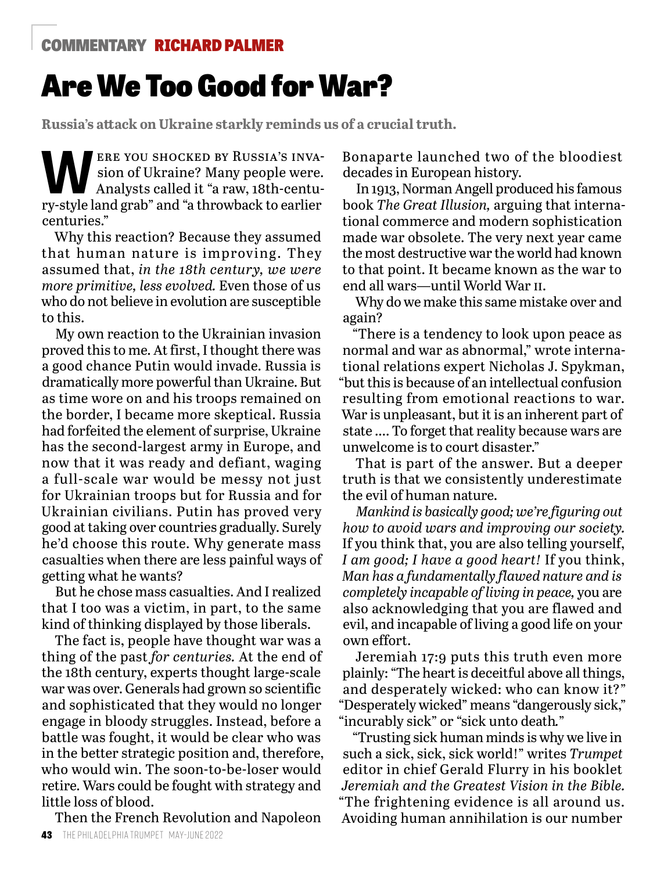#### COMMENTARY RICHARD PALMER

### Are We Too Good for War?

**Russia's attack on Ukraine starkly reminds us of a crucial truth.**

ERE YOU SHOCKED BY RUSSIA'S INVA-<br>
Sion of Ukraine? Many people were.<br>
Analysts called it "a raw, 18th-centusion of Ukraine? Many people were. ry-style land grab" and "a throwback to earlier centuries."

Why this reaction? Because they assumed that human nature is improving. They assumed that, *in the 18th century, we were more primitive, less evolved.* Even those of us who do not believe in evolution are susceptible to this.

My own reaction to the Ukrainian invasion proved this to me. At first, I thought there was a good chance Putin would invade. Russia is dramatically more powerful than Ukraine. But as time wore on and his troops remained on the border, I became more skeptical. Russia had forfeited the element of surprise, Ukraine has the second-largest army in Europe, and now that it was ready and defiant, waging a full-scale war would be messy not just for Ukrainian troops but for Russia and for Ukrainian civilians. Putin has proved very good at taking over countries gradually. Surely he'd choose this route. Why generate mass casualties when there are less painful ways of getting what he wants?

But he chose mass casualties. And I realized that I too was a victim, in part, to the same kind of thinking displayed by those liberals.

The fact is, people have thought war was a thing of the past *for centuries.* At the end of the 18th century, experts thought large-scale war was over. Generals had grown so scientific and sophisticated that they would no longer engage in bloody struggles. Instead, before a battle was fought, it would be clear who was in the better strategic position and, therefore, who would win. The soon-to-be-loser would retire. Wars could be fought with strategy and little loss of blood.

Then the French Revolution and Napoleon

Bonaparte launched two of the bloodiest decades in European history.

In 1913, Norman Angell produced his famous book *The Great Illusion,* arguing that international commerce and modern sophistication made war obsolete. The very next year came the most destructive war the world had known to that point. It became known as the war to end all wars—until World War ii.

Why do we make this same mistake over and again?

"There is a tendency to look upon peace as normal and war as abnormal," wrote international relations expert Nicholas J. Spykman, "but this is because of an intellectual confusion resulting from emotional reactions to war. War is unpleasant, but it is an inherent part of state …. To forget that reality because wars are unwelcome is to court disaster."

That is part of the answer. But a deeper truth is that we consistently underestimate the evil of human nature.

*Mankind is basically good; we're figuring out how to avoid wars and improving our society.*  If you think that, you are also telling yourself, *I am good; I have a good heart!* If you think, *Man has a fundamentally flawed nature and is completely incapable of living in peace,* you are also acknowledging that you are flawed and evil, and incapable of living a good life on your own effort.

Jeremiah 17:9 puts this truth even more plainly: "The heart is deceitful above all things, and desperately wicked: who can know it?" "Desperately wicked" means "dangerously sick," "incurably sick" or "sick unto death*.*"

"Trusting sick human minds is why we live in such a sick, sick, sick world!" writes *Trumpet* editor in chief Gerald Flurry in his booklet *Jeremiah and the Greatest Vision in the Bible.* "The frightening evidence is all around us. Avoiding human annihilation is our number